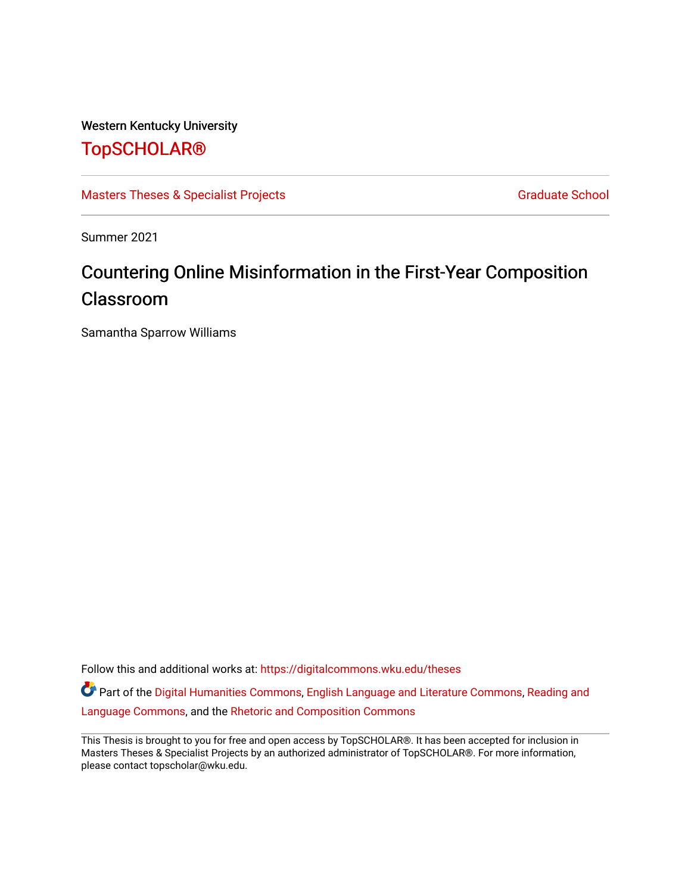# Western Kentucky University

# [TopSCHOLAR®](https://digitalcommons.wku.edu/)

[Masters Theses & Specialist Projects](https://digitalcommons.wku.edu/theses) [Graduate School](https://digitalcommons.wku.edu/Graduate) Graduate School

Summer 2021

# Countering Online Misinformation in the First-Year Composition Classroom

Samantha Sparrow Williams

Follow this and additional works at: [https://digitalcommons.wku.edu/theses](https://digitalcommons.wku.edu/theses?utm_source=digitalcommons.wku.edu%2Ftheses%2F3517&utm_medium=PDF&utm_campaign=PDFCoverPages) 

Part of the [Digital Humanities Commons](http://network.bepress.com/hgg/discipline/1286?utm_source=digitalcommons.wku.edu%2Ftheses%2F3517&utm_medium=PDF&utm_campaign=PDFCoverPages), [English Language and Literature Commons,](http://network.bepress.com/hgg/discipline/455?utm_source=digitalcommons.wku.edu%2Ftheses%2F3517&utm_medium=PDF&utm_campaign=PDFCoverPages) [Reading and](http://network.bepress.com/hgg/discipline/1037?utm_source=digitalcommons.wku.edu%2Ftheses%2F3517&utm_medium=PDF&utm_campaign=PDFCoverPages)  [Language Commons](http://network.bepress.com/hgg/discipline/1037?utm_source=digitalcommons.wku.edu%2Ftheses%2F3517&utm_medium=PDF&utm_campaign=PDFCoverPages), and the [Rhetoric and Composition Commons](http://network.bepress.com/hgg/discipline/573?utm_source=digitalcommons.wku.edu%2Ftheses%2F3517&utm_medium=PDF&utm_campaign=PDFCoverPages)

This Thesis is brought to you for free and open access by TopSCHOLAR®. It has been accepted for inclusion in Masters Theses & Specialist Projects by an authorized administrator of TopSCHOLAR®. For more information, please contact topscholar@wku.edu.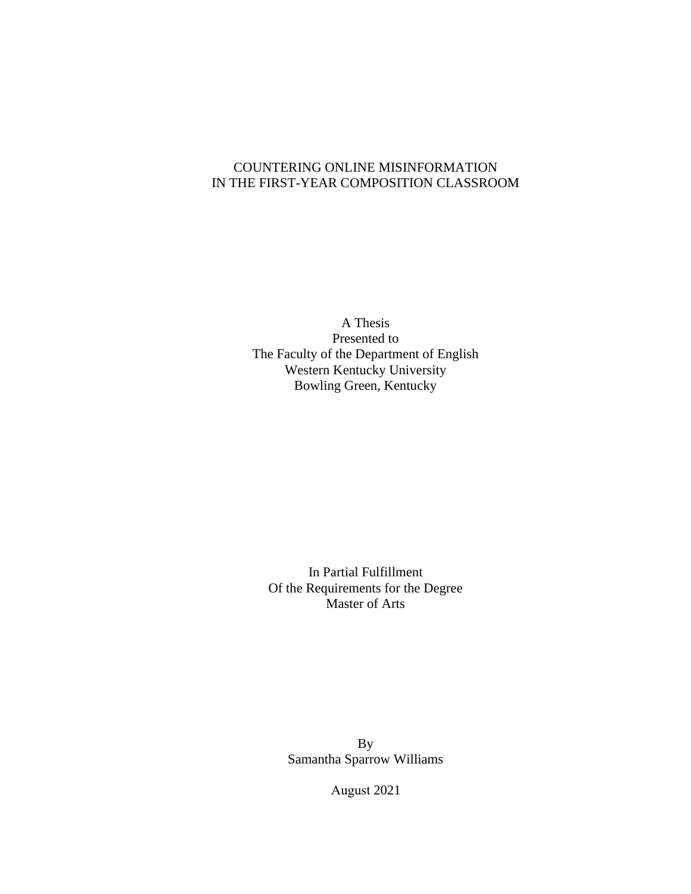## COUNTERING ONLINE MISINFORMATION IN THE FIRST-YEAR COMPOSITION CLASSROOM

A Thesis Presented to The Faculty of the Department of English Western Kentucky University Bowling Green, Kentucky

In Partial Fulfillment Of the Requirements for the Degree Master of Arts

By Samantha Sparrow Williams

August 2021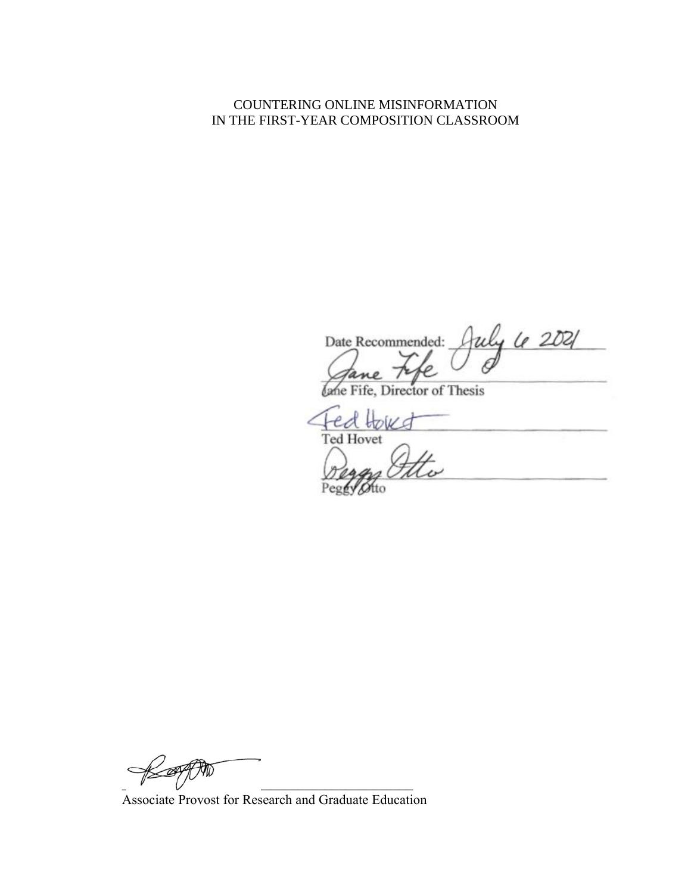## COUNTERING ONLINE MISINFORMATION IN THE FIRST-YEAR COMPOSITION CLASSROOM

July 6 2021 Date Recommended:

Director of Thesis

 $D$ **Ted Hovet** 

 $\cancel{+}$ 

Associate Provost for Research and Graduate Education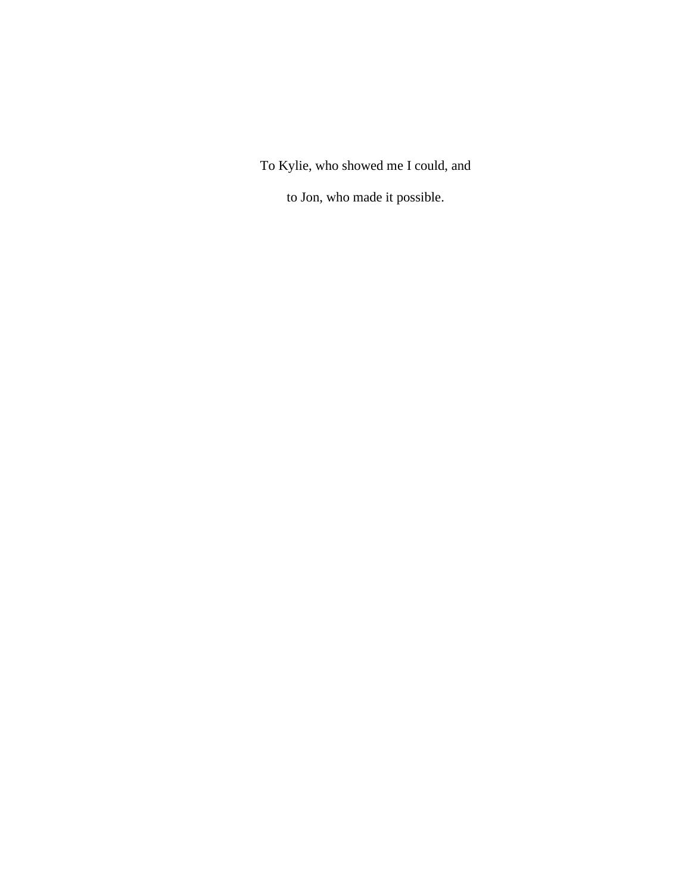To Kylie, who showed me I could, and

to Jon, who made it possible.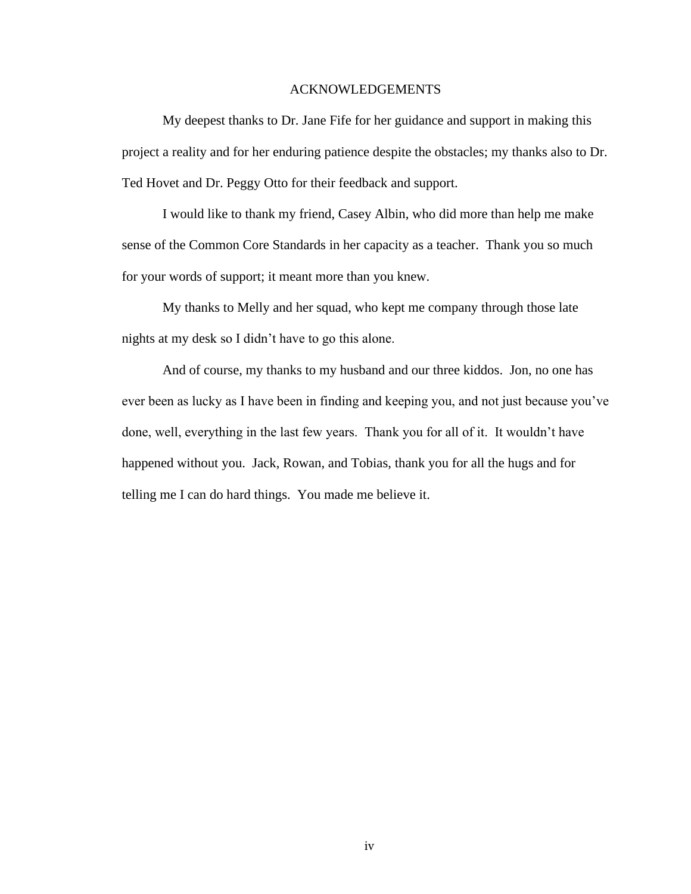#### ACKNOWLEDGEMENTS

My deepest thanks to Dr. Jane Fife for her guidance and support in making this project a reality and for her enduring patience despite the obstacles; my thanks also to Dr. Ted Hovet and Dr. Peggy Otto for their feedback and support.

I would like to thank my friend, Casey Albin, who did more than help me make sense of the Common Core Standards in her capacity as a teacher. Thank you so much for your words of support; it meant more than you knew.

My thanks to Melly and her squad, who kept me company through those late nights at my desk so I didn't have to go this alone.

And of course, my thanks to my husband and our three kiddos. Jon, no one has ever been as lucky as I have been in finding and keeping you, and not just because you've done, well, everything in the last few years. Thank you for all of it. It wouldn't have happened without you. Jack, Rowan, and Tobias, thank you for all the hugs and for telling me I can do hard things. You made me believe it.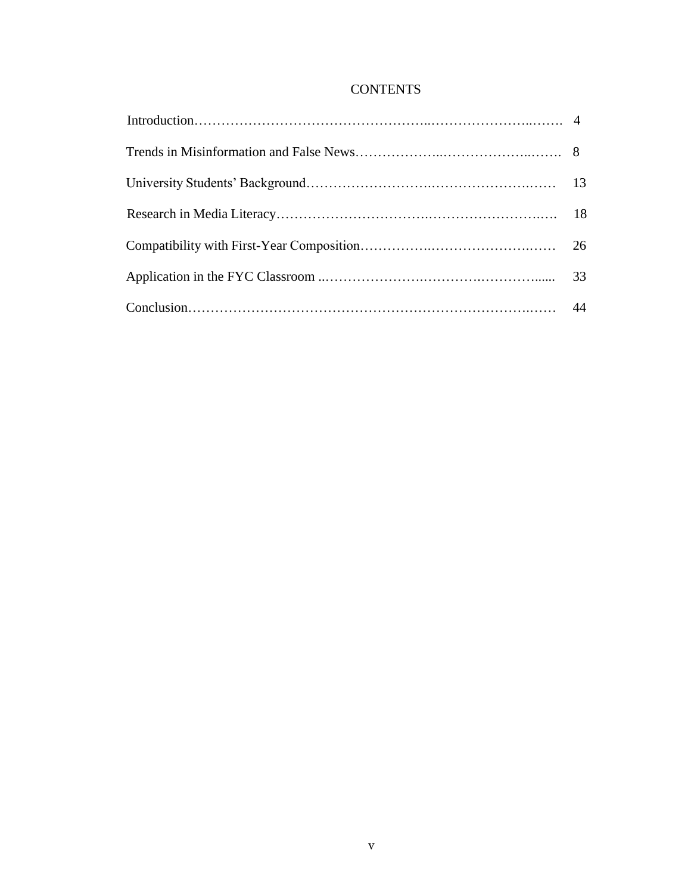# **CONTENTS**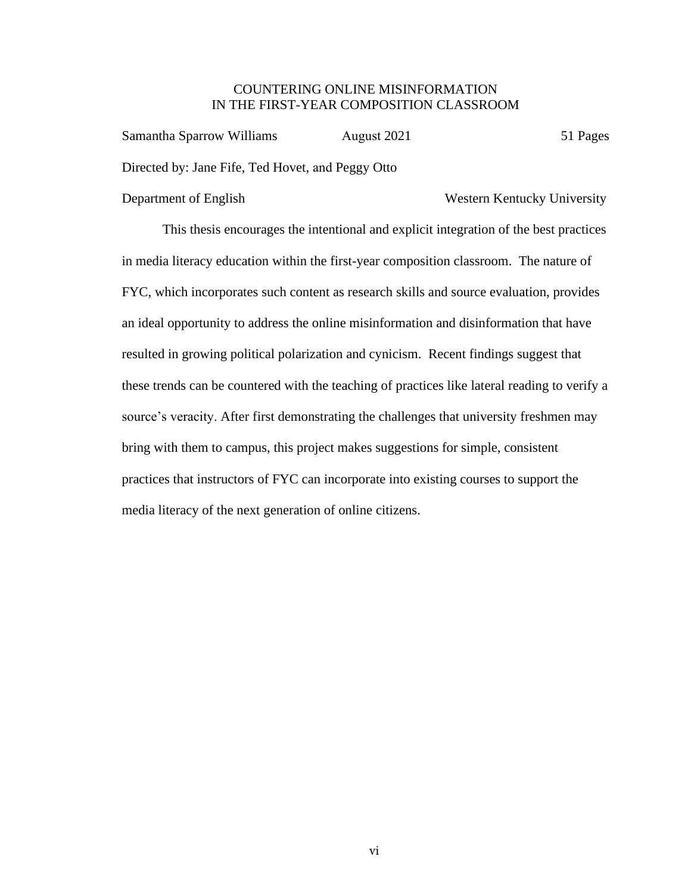#### COUNTERING ONLINE MISINFORMATION IN THE FIRST-YEAR COMPOSITION CLASSROOM

Samantha Sparrow Williams August 2021 51 Pages Directed by: Jane Fife, Ted Hovet, and Peggy Otto

#### Department of English Western Kentucky University

This thesis encourages the intentional and explicit integration of the best practices in media literacy education within the first-year composition classroom. The nature of FYC, which incorporates such content as research skills and source evaluation, provides an ideal opportunity to address the online misinformation and disinformation that have resulted in growing political polarization and cynicism. Recent findings suggest that these trends can be countered with the teaching of practices like lateral reading to verify a source's veracity. After first demonstrating the challenges that university freshmen may bring with them to campus, this project makes suggestions for simple, consistent practices that instructors of FYC can incorporate into existing courses to support the media literacy of the next generation of online citizens.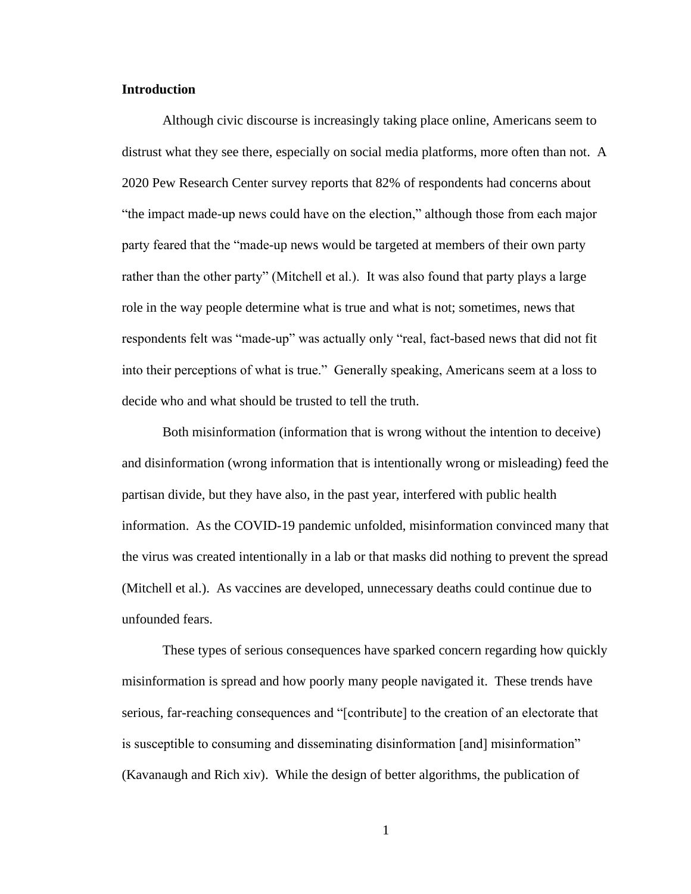#### **Introduction**

Although civic discourse is increasingly taking place online, Americans seem to distrust what they see there, especially on social media platforms, more often than not. A 2020 Pew Research Center survey reports that 82% of respondents had concerns about "the impact made-up news could have on the election," although those from each major party feared that the "made-up news would be targeted at members of their own party rather than the other party" (Mitchell et al.). It was also found that party plays a large role in the way people determine what is true and what is not; sometimes, news that respondents felt was "made-up" was actually only "real, fact-based news that did not fit into their perceptions of what is true." Generally speaking, Americans seem at a loss to decide who and what should be trusted to tell the truth.

Both misinformation (information that is wrong without the intention to deceive) and disinformation (wrong information that is intentionally wrong or misleading) feed the partisan divide, but they have also, in the past year, interfered with public health information. As the COVID-19 pandemic unfolded, misinformation convinced many that the virus was created intentionally in a lab or that masks did nothing to prevent the spread (Mitchell et al.). As vaccines are developed, unnecessary deaths could continue due to unfounded fears.

These types of serious consequences have sparked concern regarding how quickly misinformation is spread and how poorly many people navigated it. These trends have serious, far-reaching consequences and "[contribute] to the creation of an electorate that is susceptible to consuming and disseminating disinformation [and] misinformation" (Kavanaugh and Rich xiv). While the design of better algorithms, the publication of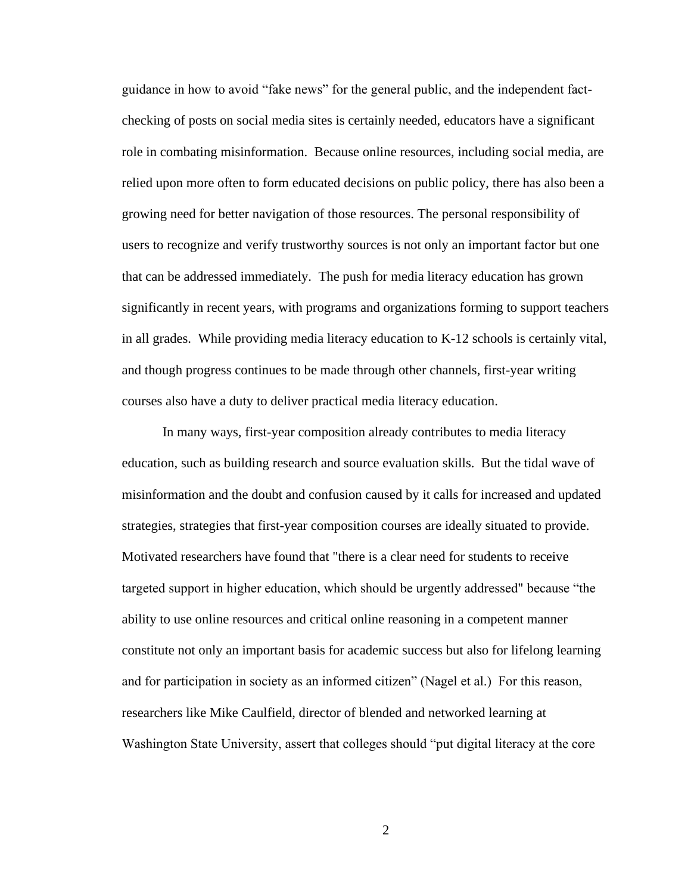guidance in how to avoid "fake news" for the general public, and the independent factchecking of posts on social media sites is certainly needed, educators have a significant role in combating misinformation. Because online resources, including social media, are relied upon more often to form educated decisions on public policy, there has also been a growing need for better navigation of those resources. The personal responsibility of users to recognize and verify trustworthy sources is not only an important factor but one that can be addressed immediately. The push for media literacy education has grown significantly in recent years, with programs and organizations forming to support teachers in all grades. While providing media literacy education to K-12 schools is certainly vital, and though progress continues to be made through other channels, first-year writing courses also have a duty to deliver practical media literacy education.

In many ways, first-year composition already contributes to media literacy education, such as building research and source evaluation skills. But the tidal wave of misinformation and the doubt and confusion caused by it calls for increased and updated strategies, strategies that first-year composition courses are ideally situated to provide. Motivated researchers have found that "there is a clear need for students to receive targeted support in higher education, which should be urgently addressed" because "the ability to use online resources and critical online reasoning in a competent manner constitute not only an important basis for academic success but also for lifelong learning and for participation in society as an informed citizen" (Nagel et al.) For this reason, researchers like Mike Caulfield, director of blended and networked learning at Washington State University, assert that colleges should "put digital literacy at the core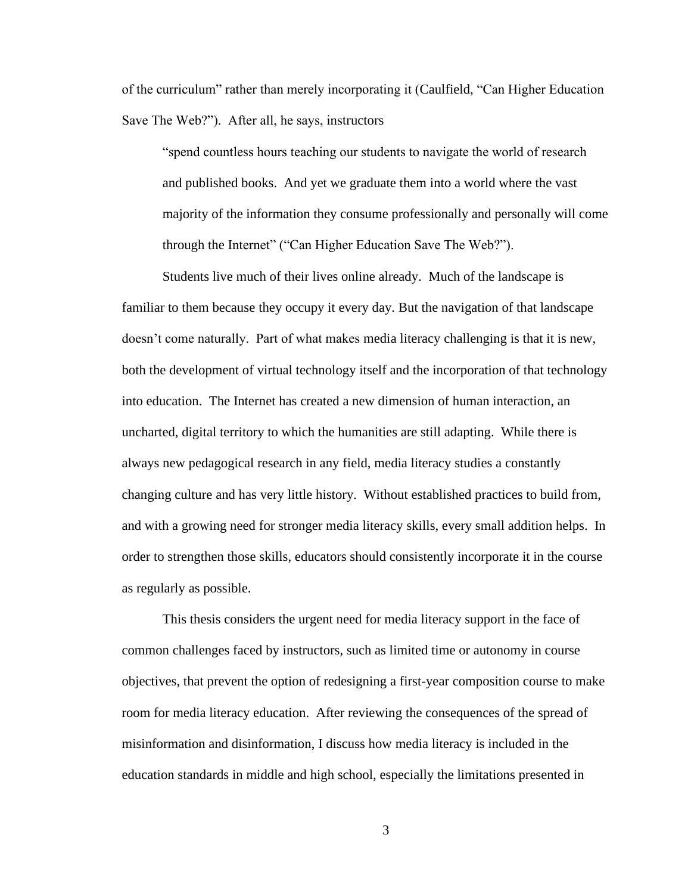of the curriculum" rather than merely incorporating it (Caulfield, "Can Higher Education Save The Web?"). After all, he says, instructors

"spend countless hours teaching our students to navigate the world of research and published books. And yet we graduate them into a world where the vast majority of the information they consume professionally and personally will come through the Internet" ("Can Higher Education Save The Web?").

Students live much of their lives online already. Much of the landscape is familiar to them because they occupy it every day. But the navigation of that landscape doesn't come naturally. Part of what makes media literacy challenging is that it is new, both the development of virtual technology itself and the incorporation of that technology into education. The Internet has created a new dimension of human interaction, an uncharted, digital territory to which the humanities are still adapting. While there is always new pedagogical research in any field, media literacy studies a constantly changing culture and has very little history. Without established practices to build from, and with a growing need for stronger media literacy skills, every small addition helps. In order to strengthen those skills, educators should consistently incorporate it in the course as regularly as possible.

This thesis considers the urgent need for media literacy support in the face of common challenges faced by instructors, such as limited time or autonomy in course objectives, that prevent the option of redesigning a first-year composition course to make room for media literacy education. After reviewing the consequences of the spread of misinformation and disinformation, I discuss how media literacy is included in the education standards in middle and high school, especially the limitations presented in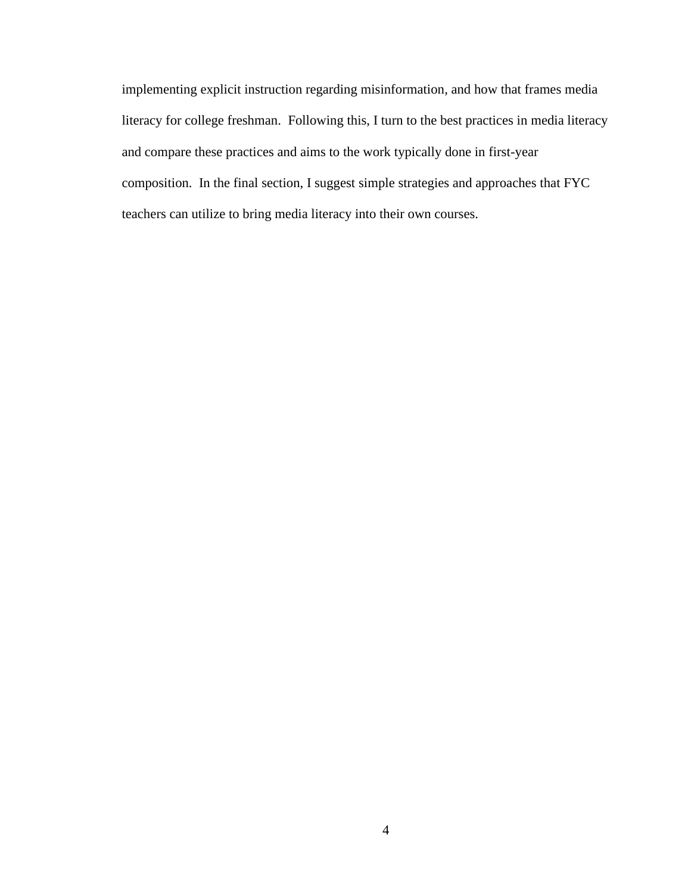implementing explicit instruction regarding misinformation, and how that frames media literacy for college freshman. Following this, I turn to the best practices in media literacy and compare these practices and aims to the work typically done in first-year composition. In the final section, I suggest simple strategies and approaches that FYC teachers can utilize to bring media literacy into their own courses.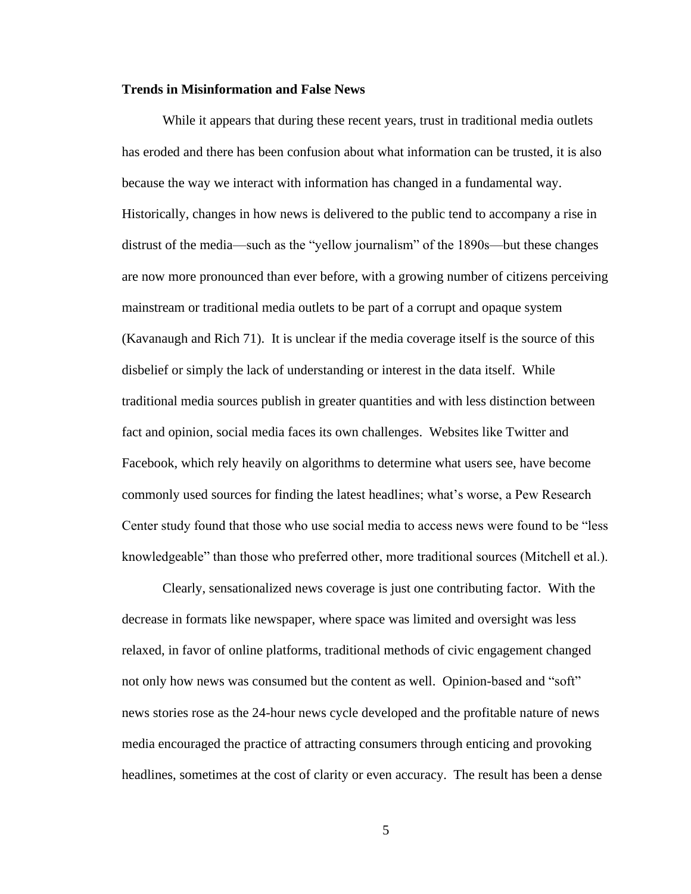#### **Trends in Misinformation and False News**

While it appears that during these recent years, trust in traditional media outlets has eroded and there has been confusion about what information can be trusted, it is also because the way we interact with information has changed in a fundamental way. Historically, changes in how news is delivered to the public tend to accompany a rise in distrust of the media—such as the "yellow journalism" of the 1890s—but these changes are now more pronounced than ever before, with a growing number of citizens perceiving mainstream or traditional media outlets to be part of a corrupt and opaque system (Kavanaugh and Rich 71). It is unclear if the media coverage itself is the source of this disbelief or simply the lack of understanding or interest in the data itself. While traditional media sources publish in greater quantities and with less distinction between fact and opinion, social media faces its own challenges. Websites like Twitter and Facebook, which rely heavily on algorithms to determine what users see, have become commonly used sources for finding the latest headlines; what's worse, a Pew Research Center study found that those who use social media to access news were found to be "less knowledgeable" than those who preferred other, more traditional sources (Mitchell et al.).

Clearly, sensationalized news coverage is just one contributing factor. With the decrease in formats like newspaper, where space was limited and oversight was less relaxed, in favor of online platforms, traditional methods of civic engagement changed not only how news was consumed but the content as well. Opinion-based and "soft" news stories rose as the 24-hour news cycle developed and the profitable nature of news media encouraged the practice of attracting consumers through enticing and provoking headlines, sometimes at the cost of clarity or even accuracy. The result has been a dense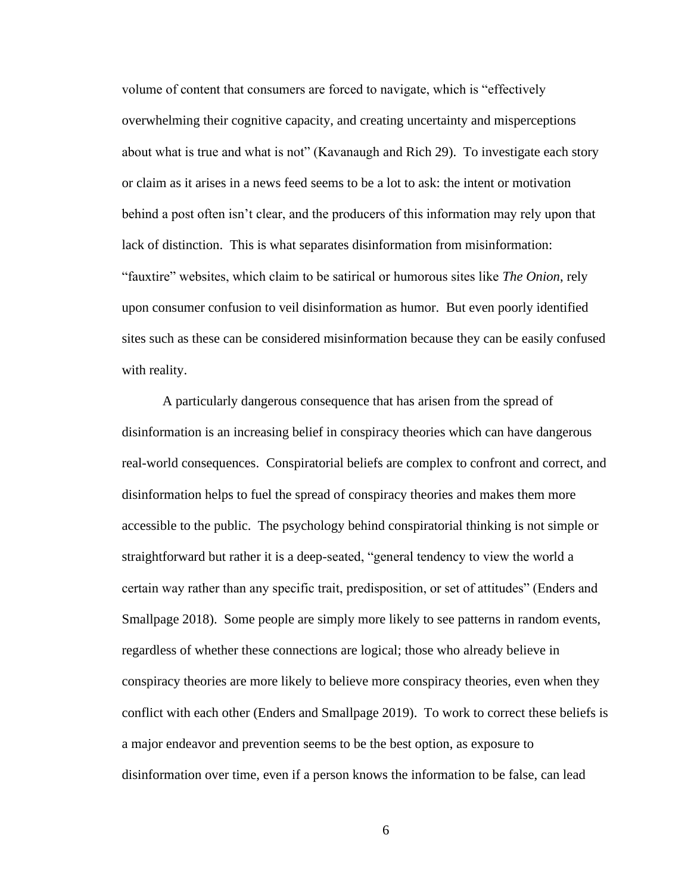volume of content that consumers are forced to navigate, which is "effectively overwhelming their cognitive capacity, and creating uncertainty and misperceptions about what is true and what is not" (Kavanaugh and Rich 29). To investigate each story or claim as it arises in a news feed seems to be a lot to ask: the intent or motivation behind a post often isn't clear, and the producers of this information may rely upon that lack of distinction. This is what separates disinformation from misinformation: "fauxtire" websites, which claim to be satirical or humorous sites like *The Onion*, rely upon consumer confusion to veil disinformation as humor. But even poorly identified sites such as these can be considered misinformation because they can be easily confused with reality.

A particularly dangerous consequence that has arisen from the spread of disinformation is an increasing belief in conspiracy theories which can have dangerous real-world consequences. Conspiratorial beliefs are complex to confront and correct, and disinformation helps to fuel the spread of conspiracy theories and makes them more accessible to the public. The psychology behind conspiratorial thinking is not simple or straightforward but rather it is a deep-seated, "general tendency to view the world a certain way rather than any specific trait, predisposition, or set of attitudes" (Enders and Smallpage 2018). Some people are simply more likely to see patterns in random events, regardless of whether these connections are logical; those who already believe in conspiracy theories are more likely to believe more conspiracy theories, even when they conflict with each other (Enders and Smallpage 2019). To work to correct these beliefs is a major endeavor and prevention seems to be the best option, as exposure to disinformation over time, even if a person knows the information to be false, can lead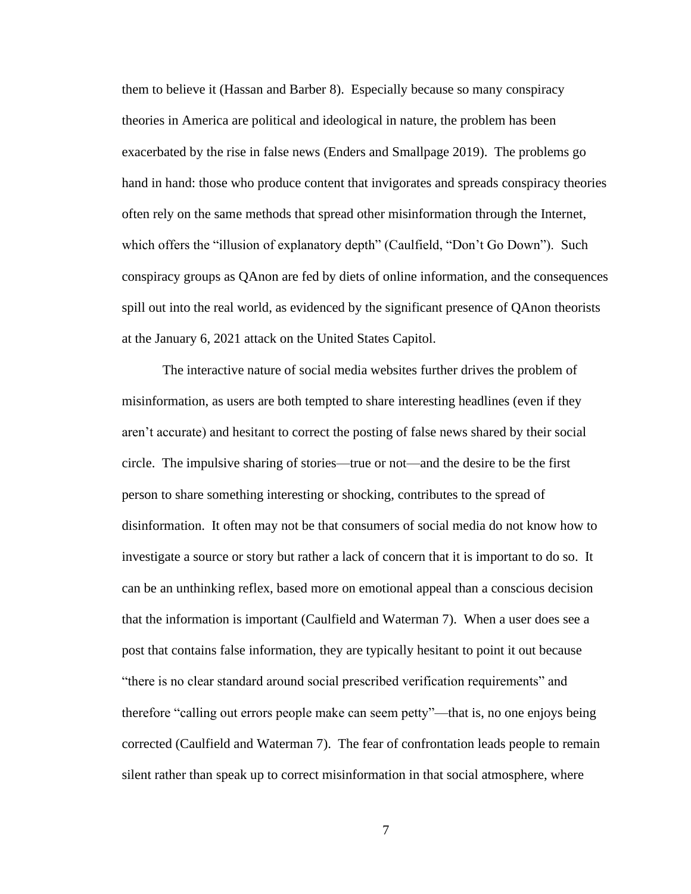them to believe it (Hassan and Barber 8). Especially because so many conspiracy theories in America are political and ideological in nature, the problem has been exacerbated by the rise in false news (Enders and Smallpage 2019). The problems go hand in hand: those who produce content that invigorates and spreads conspiracy theories often rely on the same methods that spread other misinformation through the Internet, which offers the "illusion of explanatory depth" (Caulfield, "Don't Go Down"). Such conspiracy groups as QAnon are fed by diets of online information, and the consequences spill out into the real world, as evidenced by the significant presence of QAnon theorists at the January 6, 2021 attack on the United States Capitol.

The interactive nature of social media websites further drives the problem of misinformation, as users are both tempted to share interesting headlines (even if they aren't accurate) and hesitant to correct the posting of false news shared by their social circle. The impulsive sharing of stories—true or not—and the desire to be the first person to share something interesting or shocking, contributes to the spread of disinformation. It often may not be that consumers of social media do not know how to investigate a source or story but rather a lack of concern that it is important to do so. It can be an unthinking reflex, based more on emotional appeal than a conscious decision that the information is important (Caulfield and Waterman 7). When a user does see a post that contains false information, they are typically hesitant to point it out because "there is no clear standard around social prescribed verification requirements" and therefore "calling out errors people make can seem petty"—that is, no one enjoys being corrected (Caulfield and Waterman 7). The fear of confrontation leads people to remain silent rather than speak up to correct misinformation in that social atmosphere, where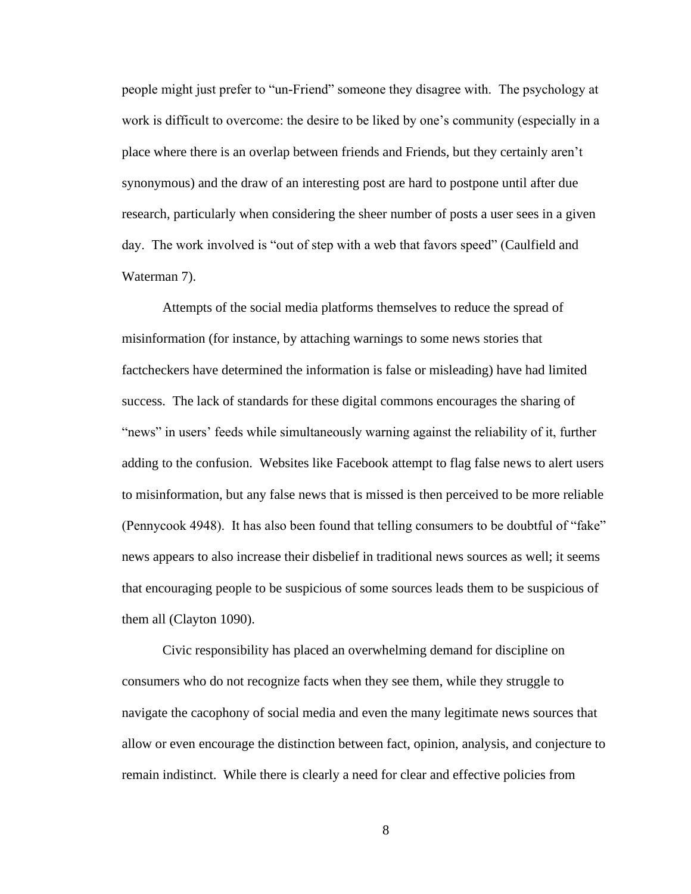people might just prefer to "un-Friend" someone they disagree with. The psychology at work is difficult to overcome: the desire to be liked by one's community (especially in a place where there is an overlap between friends and Friends, but they certainly aren't synonymous) and the draw of an interesting post are hard to postpone until after due research, particularly when considering the sheer number of posts a user sees in a given day. The work involved is "out of step with a web that favors speed" (Caulfield and Waterman 7).

Attempts of the social media platforms themselves to reduce the spread of misinformation (for instance, by attaching warnings to some news stories that factcheckers have determined the information is false or misleading) have had limited success. The lack of standards for these digital commons encourages the sharing of "news" in users' feeds while simultaneously warning against the reliability of it, further adding to the confusion. Websites like Facebook attempt to flag false news to alert users to misinformation, but any false news that is missed is then perceived to be more reliable (Pennycook 4948). It has also been found that telling consumers to be doubtful of "fake" news appears to also increase their disbelief in traditional news sources as well; it seems that encouraging people to be suspicious of some sources leads them to be suspicious of them all (Clayton 1090).

Civic responsibility has placed an overwhelming demand for discipline on consumers who do not recognize facts when they see them, while they struggle to navigate the cacophony of social media and even the many legitimate news sources that allow or even encourage the distinction between fact, opinion, analysis, and conjecture to remain indistinct. While there is clearly a need for clear and effective policies from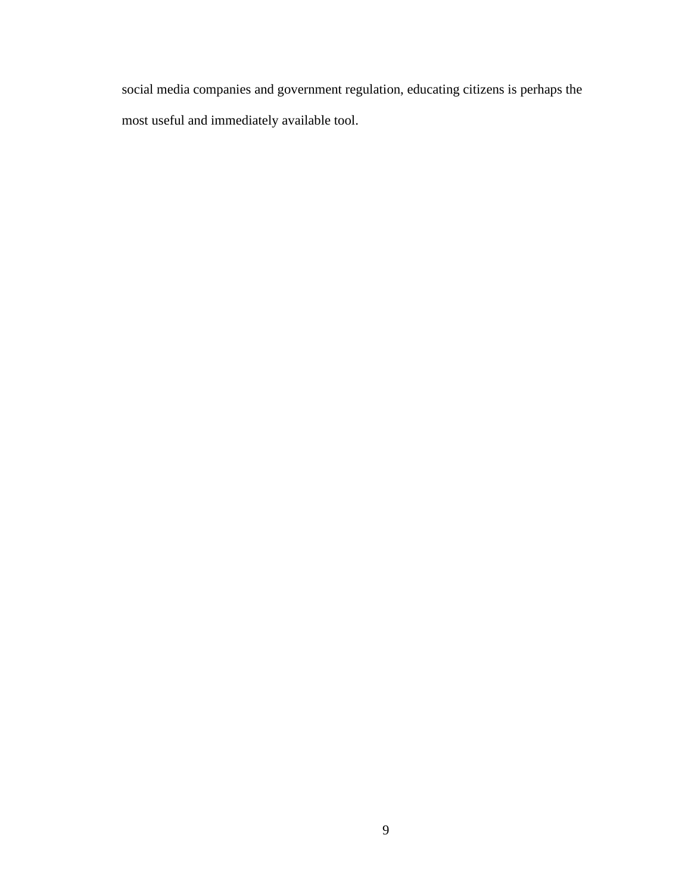social media companies and government regulation, educating citizens is perhaps the most useful and immediately available tool.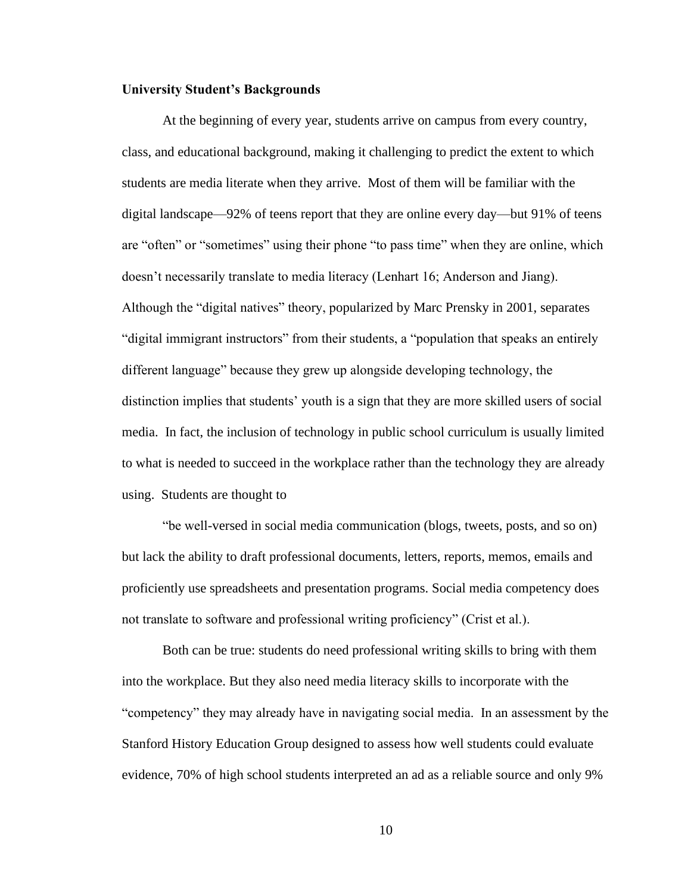#### **University Student's Backgrounds**

At the beginning of every year, students arrive on campus from every country, class, and educational background, making it challenging to predict the extent to which students are media literate when they arrive. Most of them will be familiar with the digital landscape—92% of teens report that they are online every day—but 91% of teens are "often" or "sometimes" using their phone "to pass time" when they are online, which doesn't necessarily translate to media literacy (Lenhart 16; Anderson and Jiang). Although the "digital natives" theory, popularized by Marc Prensky in 2001, separates "digital immigrant instructors" from their students, a "population that speaks an entirely different language" because they grew up alongside developing technology, the distinction implies that students' youth is a sign that they are more skilled users of social media. In fact, the inclusion of technology in public school curriculum is usually limited to what is needed to succeed in the workplace rather than the technology they are already using. Students are thought to

"be well-versed in social media communication (blogs, tweets, posts, and so on) but lack the ability to draft professional documents, letters, reports, memos, emails and proficiently use spreadsheets and presentation programs. Social media competency does not translate to software and professional writing proficiency" (Crist et al.).

Both can be true: students do need professional writing skills to bring with them into the workplace. But they also need media literacy skills to incorporate with the "competency" they may already have in navigating social media. In an assessment by the Stanford History Education Group designed to assess how well students could evaluate evidence, 70% of high school students interpreted an ad as a reliable source and only 9%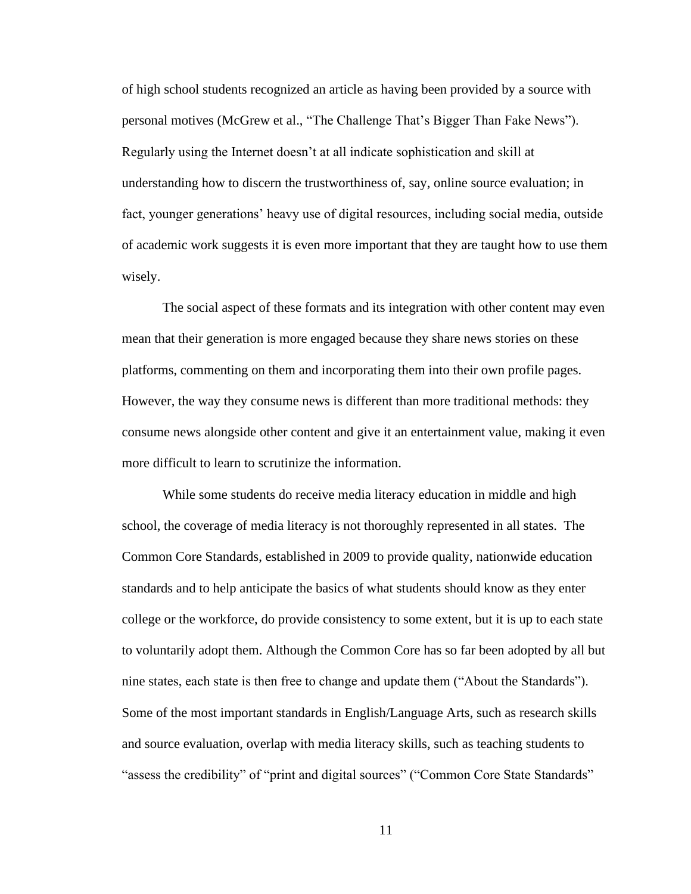of high school students recognized an article as having been provided by a source with personal motives (McGrew et al., "The Challenge That's Bigger Than Fake News"). Regularly using the Internet doesn't at all indicate sophistication and skill at understanding how to discern the trustworthiness of, say, online source evaluation; in fact, younger generations' heavy use of digital resources, including social media, outside of academic work suggests it is even more important that they are taught how to use them wisely.

The social aspect of these formats and its integration with other content may even mean that their generation is more engaged because they share news stories on these platforms, commenting on them and incorporating them into their own profile pages. However, the way they consume news is different than more traditional methods: they consume news alongside other content and give it an entertainment value, making it even more difficult to learn to scrutinize the information.

While some students do receive media literacy education in middle and high school, the coverage of media literacy is not thoroughly represented in all states. The Common Core Standards, established in 2009 to provide quality, nationwide education standards and to help anticipate the basics of what students should know as they enter college or the workforce, do provide consistency to some extent, but it is up to each state to voluntarily adopt them. Although the Common Core has so far been adopted by all but nine states, each state is then free to change and update them ("About the Standards"). Some of the most important standards in English/Language Arts, such as research skills and source evaluation, overlap with media literacy skills, such as teaching students to "assess the credibility" of "print and digital sources" ("Common Core State Standards"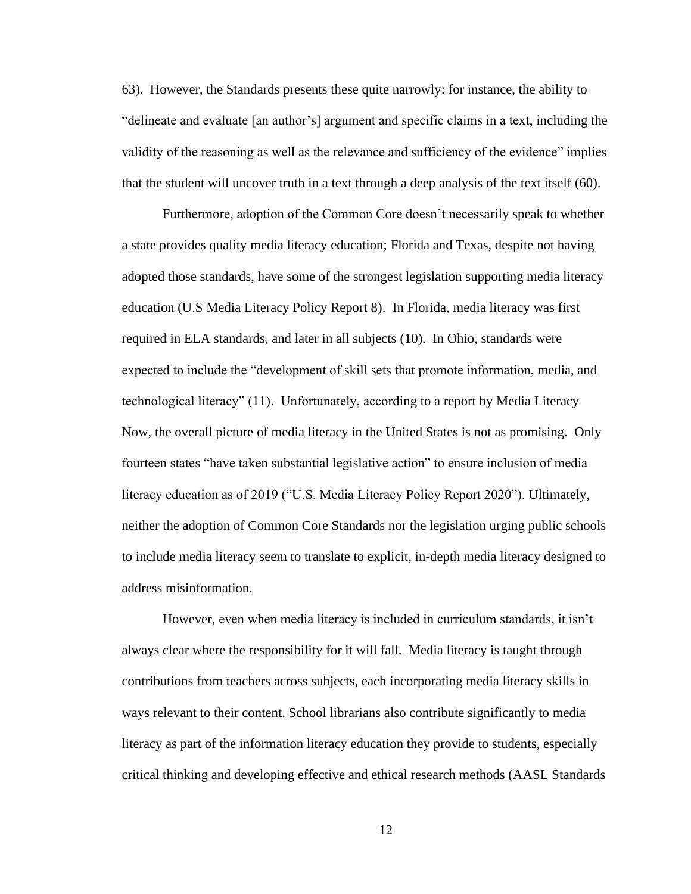63). However, the Standards presents these quite narrowly: for instance, the ability to "delineate and evaluate [an author's] argument and specific claims in a text, including the validity of the reasoning as well as the relevance and sufficiency of the evidence" implies that the student will uncover truth in a text through a deep analysis of the text itself (60).

Furthermore, adoption of the Common Core doesn't necessarily speak to whether a state provides quality media literacy education; Florida and Texas, despite not having adopted those standards, have some of the strongest legislation supporting media literacy education (U.S Media Literacy Policy Report 8). In Florida, media literacy was first required in ELA standards, and later in all subjects (10). In Ohio, standards were expected to include the "development of skill sets that promote information, media, and technological literacy" (11). Unfortunately, according to a report by Media Literacy Now, the overall picture of media literacy in the United States is not as promising. Only fourteen states "have taken substantial legislative action" to ensure inclusion of media literacy education as of 2019 ("U.S. Media Literacy Policy Report 2020"). Ultimately, neither the adoption of Common Core Standards nor the legislation urging public schools to include media literacy seem to translate to explicit, in-depth media literacy designed to address misinformation.

However, even when media literacy is included in curriculum standards, it isn't always clear where the responsibility for it will fall. Media literacy is taught through contributions from teachers across subjects, each incorporating media literacy skills in ways relevant to their content. School librarians also contribute significantly to media literacy as part of the information literacy education they provide to students, especially critical thinking and developing effective and ethical research methods (AASL Standards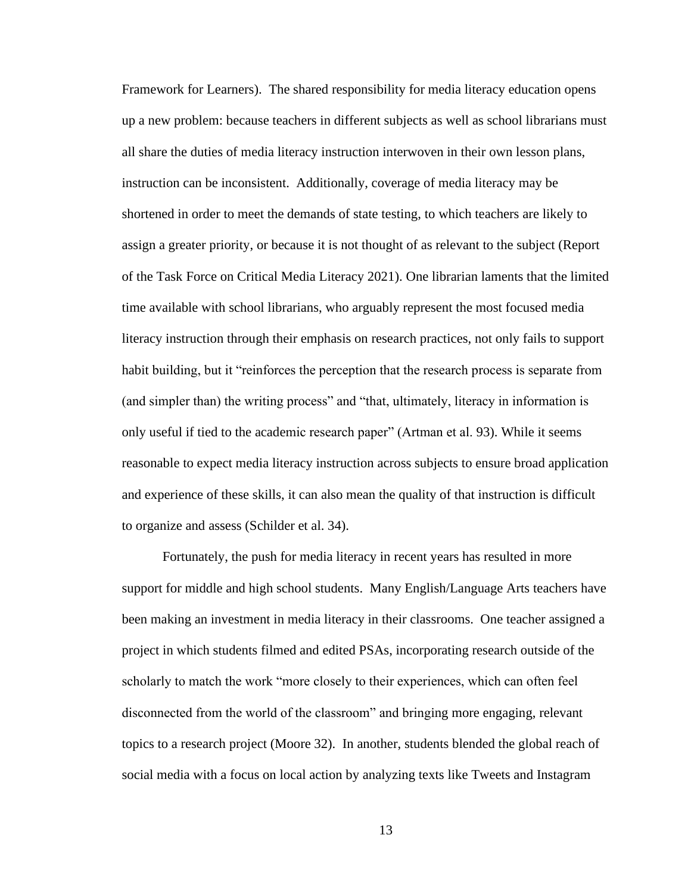Framework for Learners). The shared responsibility for media literacy education opens up a new problem: because teachers in different subjects as well as school librarians must all share the duties of media literacy instruction interwoven in their own lesson plans, instruction can be inconsistent. Additionally, coverage of media literacy may be shortened in order to meet the demands of state testing, to which teachers are likely to assign a greater priority, or because it is not thought of as relevant to the subject (Report of the Task Force on Critical Media Literacy 2021). One librarian laments that the limited time available with school librarians, who arguably represent the most focused media literacy instruction through their emphasis on research practices, not only fails to support habit building, but it "reinforces the perception that the research process is separate from (and simpler than) the writing process" and "that, ultimately, literacy in information is only useful if tied to the academic research paper" (Artman et al. 93). While it seems reasonable to expect media literacy instruction across subjects to ensure broad application and experience of these skills, it can also mean the quality of that instruction is difficult to organize and assess (Schilder et al. 34).

Fortunately, the push for media literacy in recent years has resulted in more support for middle and high school students. Many English/Language Arts teachers have been making an investment in media literacy in their classrooms. One teacher assigned a project in which students filmed and edited PSAs, incorporating research outside of the scholarly to match the work "more closely to their experiences, which can often feel disconnected from the world of the classroom" and bringing more engaging, relevant topics to a research project (Moore 32). In another, students blended the global reach of social media with a focus on local action by analyzing texts like Tweets and Instagram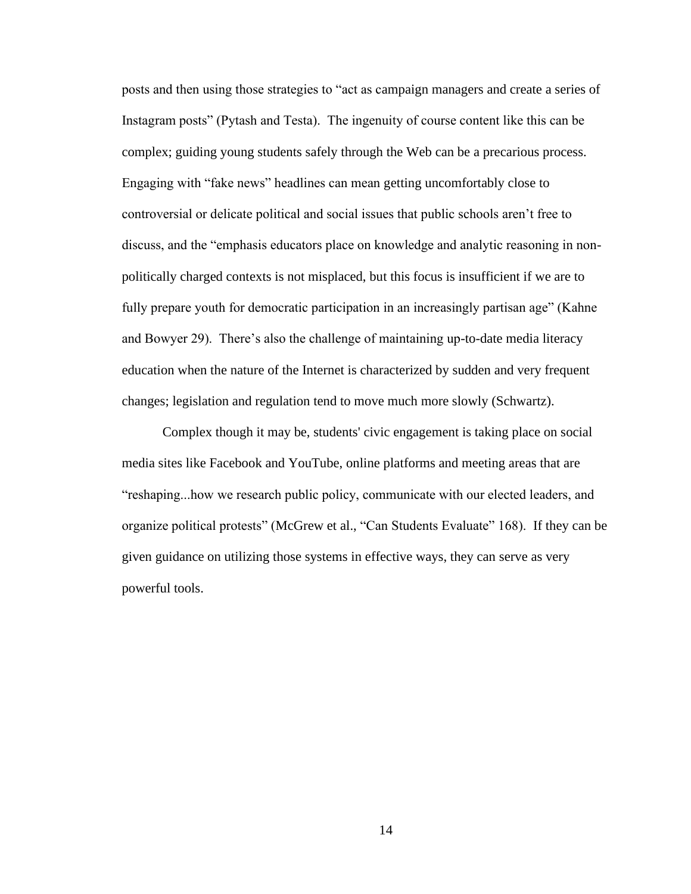posts and then using those strategies to "act as campaign managers and create a series of Instagram posts" (Pytash and Testa). The ingenuity of course content like this can be complex; guiding young students safely through the Web can be a precarious process. Engaging with "fake news" headlines can mean getting uncomfortably close to controversial or delicate political and social issues that public schools aren't free to discuss, and the "emphasis educators place on knowledge and analytic reasoning in nonpolitically charged contexts is not misplaced, but this focus is insufficient if we are to fully prepare youth for democratic participation in an increasingly partisan age" (Kahne and Bowyer 29). There's also the challenge of maintaining up-to-date media literacy education when the nature of the Internet is characterized by sudden and very frequent changes; legislation and regulation tend to move much more slowly (Schwartz).

Complex though it may be, students' civic engagement is taking place on social media sites like Facebook and YouTube, online platforms and meeting areas that are "reshaping...how we research public policy, communicate with our elected leaders, and organize political protests" (McGrew et al., "Can Students Evaluate" 168). If they can be given guidance on utilizing those systems in effective ways, they can serve as very powerful tools.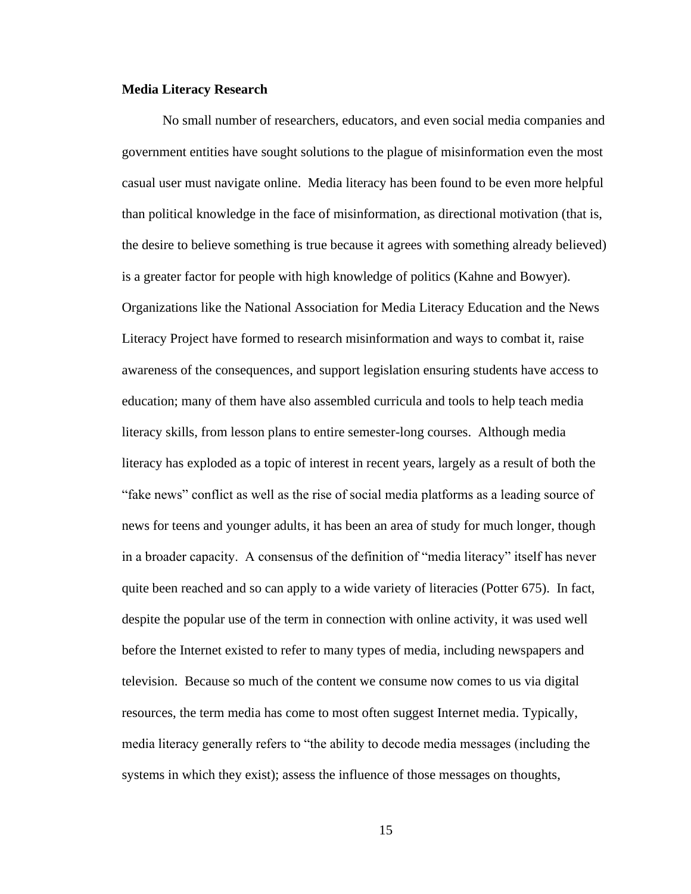#### **Media Literacy Research**

No small number of researchers, educators, and even social media companies and government entities have sought solutions to the plague of misinformation even the most casual user must navigate online. Media literacy has been found to be even more helpful than political knowledge in the face of misinformation, as directional motivation (that is, the desire to believe something is true because it agrees with something already believed) is a greater factor for people with high knowledge of politics (Kahne and Bowyer). Organizations like the National Association for Media Literacy Education and the News Literacy Project have formed to research misinformation and ways to combat it, raise awareness of the consequences, and support legislation ensuring students have access to education; many of them have also assembled curricula and tools to help teach media literacy skills, from lesson plans to entire semester-long courses. Although media literacy has exploded as a topic of interest in recent years, largely as a result of both the "fake news" conflict as well as the rise of social media platforms as a leading source of news for teens and younger adults, it has been an area of study for much longer, though in a broader capacity. A consensus of the definition of "media literacy" itself has never quite been reached and so can apply to a wide variety of literacies (Potter 675). In fact, despite the popular use of the term in connection with online activity, it was used well before the Internet existed to refer to many types of media, including newspapers and television. Because so much of the content we consume now comes to us via digital resources, the term media has come to most often suggest Internet media. Typically, media literacy generally refers to "the ability to decode media messages (including the systems in which they exist); assess the influence of those messages on thoughts,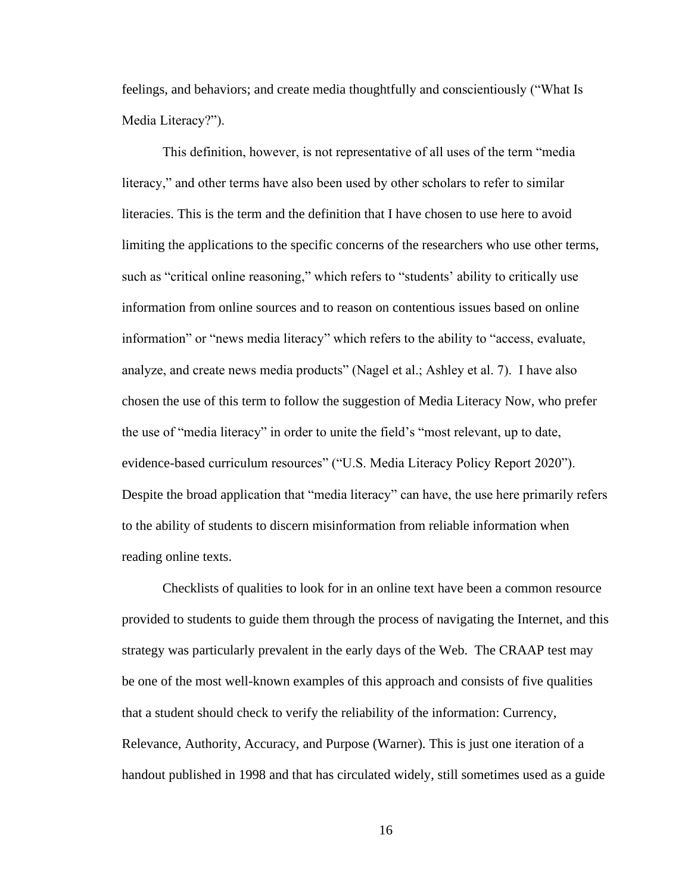feelings, and behaviors; and create media thoughtfully and conscientiously ("What Is Media Literacy?").

This definition, however, is not representative of all uses of the term "media literacy," and other terms have also been used by other scholars to refer to similar literacies. This is the term and the definition that I have chosen to use here to avoid limiting the applications to the specific concerns of the researchers who use other terms, such as "critical online reasoning," which refers to "students' ability to critically use information from online sources and to reason on contentious issues based on online information" or "news media literacy" which refers to the ability to "access, evaluate, analyze, and create news media products" (Nagel et al.; Ashley et al. 7). I have also chosen the use of this term to follow the suggestion of Media Literacy Now, who prefer the use of "media literacy" in order to unite the field's "most relevant, up to date, evidence-based curriculum resources" ("U.S. Media Literacy Policy Report 2020"). Despite the broad application that "media literacy" can have, the use here primarily refers to the ability of students to discern misinformation from reliable information when reading online texts.

Checklists of qualities to look for in an online text have been a common resource provided to students to guide them through the process of navigating the Internet, and this strategy was particularly prevalent in the early days of the Web. The CRAAP test may be one of the most well-known examples of this approach and consists of five qualities that a student should check to verify the reliability of the information: Currency, Relevance, Authority, Accuracy, and Purpose (Warner). This is just one iteration of a handout published in 1998 and that has circulated widely, still sometimes used as a guide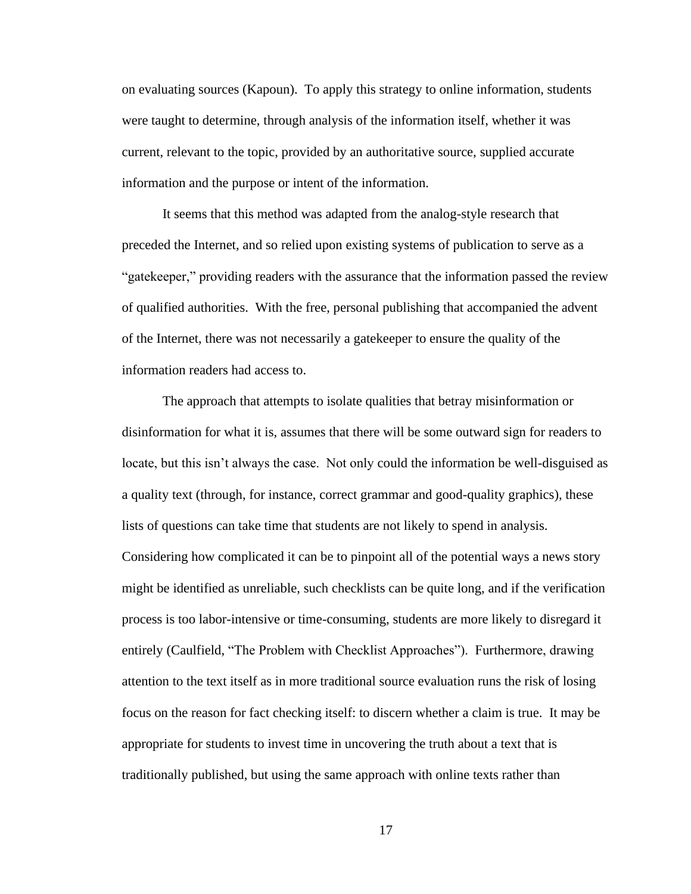on evaluating sources (Kapoun). To apply this strategy to online information, students were taught to determine, through analysis of the information itself, whether it was current, relevant to the topic, provided by an authoritative source, supplied accurate information and the purpose or intent of the information.

It seems that this method was adapted from the analog-style research that preceded the Internet, and so relied upon existing systems of publication to serve as a "gatekeeper," providing readers with the assurance that the information passed the review of qualified authorities. With the free, personal publishing that accompanied the advent of the Internet, there was not necessarily a gatekeeper to ensure the quality of the information readers had access to.

The approach that attempts to isolate qualities that betray misinformation or disinformation for what it is, assumes that there will be some outward sign for readers to locate, but this isn't always the case. Not only could the information be well-disguised as a quality text (through, for instance, correct grammar and good-quality graphics), these lists of questions can take time that students are not likely to spend in analysis. Considering how complicated it can be to pinpoint all of the potential ways a news story might be identified as unreliable, such checklists can be quite long, and if the verification process is too labor-intensive or time-consuming, students are more likely to disregard it entirely (Caulfield, "The Problem with Checklist Approaches"). Furthermore, drawing attention to the text itself as in more traditional source evaluation runs the risk of losing focus on the reason for fact checking itself: to discern whether a claim is true. It may be appropriate for students to invest time in uncovering the truth about a text that is

traditionally published, but using the same approach with online texts rather than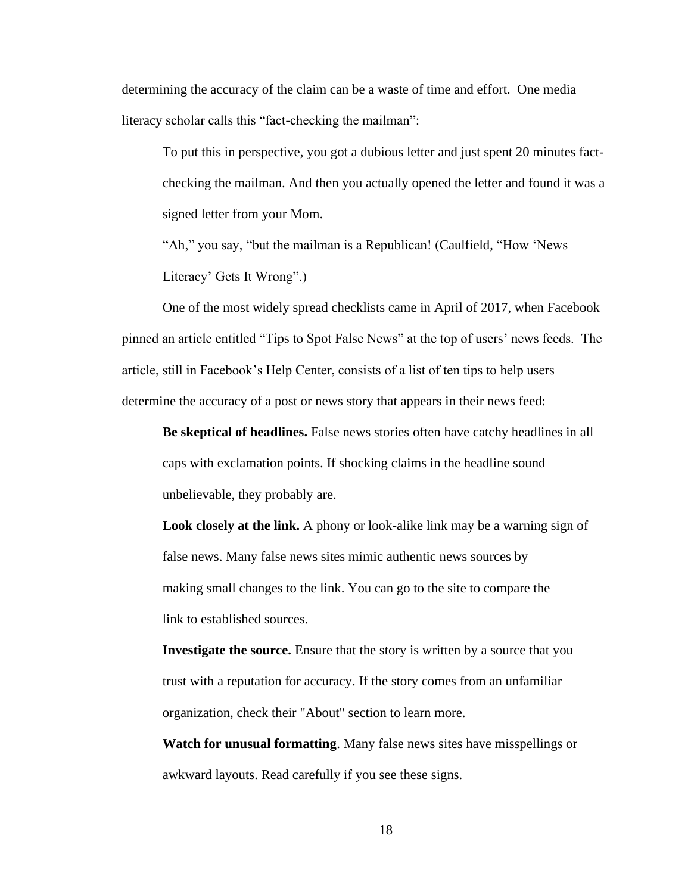determining the accuracy of the claim can be a waste of time and effort. One media literacy scholar calls this "fact-checking the mailman":

To put this in perspective, you got a dubious letter and just spent 20 minutes factchecking the mailman. And then you actually opened the letter and found it was a signed letter from your Mom.

"Ah," you say, "but the mailman is a Republican! (Caulfield, "How 'News Literacy' Gets It Wrong".)

One of the most widely spread checklists came in April of 2017, when Facebook pinned an article entitled "Tips to Spot False News" at the top of users' news feeds. The article, still in Facebook's Help Center, consists of a list of ten tips to help users determine the accuracy of a post or news story that appears in their news feed:

**Be skeptical of headlines.** False news stories often have catchy headlines in all caps with exclamation points. If shocking claims in the headline sound unbelievable, they probably are.

**Look closely at the link.** A phony or look-alike link may be a warning sign of false news. Many false news sites mimic authentic news sources by making small changes to the link. You can go to the site to compare the link to established sources.

**Investigate the source.** Ensure that the story is written by a source that you trust with a reputation for accuracy. If the story comes from an unfamiliar organization, check their "About" section to learn more.

**Watch for unusual formatting**. Many false news sites have misspellings or awkward layouts. Read carefully if you see these signs.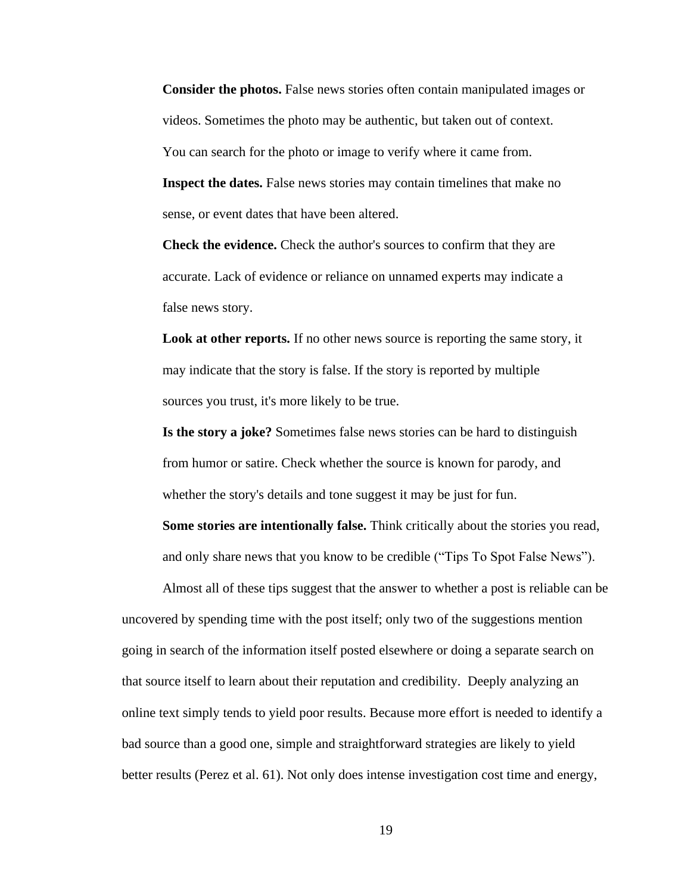**Consider the photos.** False news stories often contain manipulated images or videos. Sometimes the photo may be authentic, but taken out of context. You can search for the photo or image to verify where it came from. **Inspect the dates.** False news stories may contain timelines that make no sense, or event dates that have been altered.

**Check the evidence.** Check the author's sources to confirm that they are accurate. Lack of evidence or reliance on unnamed experts may indicate a false news story.

**Look at other reports.** If no other news source is reporting the same story, it may indicate that the story is false. If the story is reported by multiple sources you trust, it's more likely to be true.

**Is the story a joke?** Sometimes false news stories can be hard to distinguish from humor or satire. Check whether the source is known for parody, and whether the story's details and tone suggest it may be just for fun.

**Some stories are intentionally false.** Think critically about the stories you read, and only share news that you know to be credible ("Tips To Spot False News").

Almost all of these tips suggest that the answer to whether a post is reliable can be uncovered by spending time with the post itself; only two of the suggestions mention going in search of the information itself posted elsewhere or doing a separate search on that source itself to learn about their reputation and credibility. Deeply analyzing an online text simply tends to yield poor results. Because more effort is needed to identify a bad source than a good one, simple and straightforward strategies are likely to yield better results (Perez et al. 61). Not only does intense investigation cost time and energy,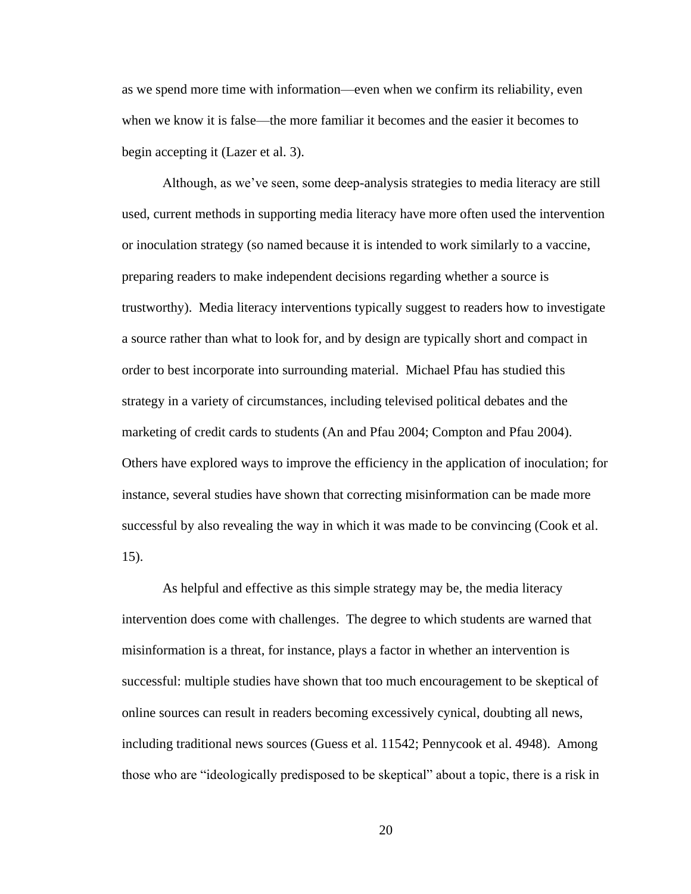as we spend more time with information—even when we confirm its reliability, even when we know it is false—the more familiar it becomes and the easier it becomes to begin accepting it (Lazer et al. 3).

Although, as we've seen, some deep-analysis strategies to media literacy are still used, current methods in supporting media literacy have more often used the intervention or inoculation strategy (so named because it is intended to work similarly to a vaccine, preparing readers to make independent decisions regarding whether a source is trustworthy). Media literacy interventions typically suggest to readers how to investigate a source rather than what to look for, and by design are typically short and compact in order to best incorporate into surrounding material. Michael Pfau has studied this strategy in a variety of circumstances, including televised political debates and the marketing of credit cards to students (An and Pfau 2004; Compton and Pfau 2004). Others have explored ways to improve the efficiency in the application of inoculation; for instance, several studies have shown that correcting misinformation can be made more successful by also revealing the way in which it was made to be convincing (Cook et al. 15).

As helpful and effective as this simple strategy may be, the media literacy intervention does come with challenges. The degree to which students are warned that misinformation is a threat, for instance, plays a factor in whether an intervention is successful: multiple studies have shown that too much encouragement to be skeptical of online sources can result in readers becoming excessively cynical, doubting all news, including traditional news sources (Guess et al. 11542; Pennycook et al. 4948). Among those who are "ideologically predisposed to be skeptical" about a topic, there is a risk in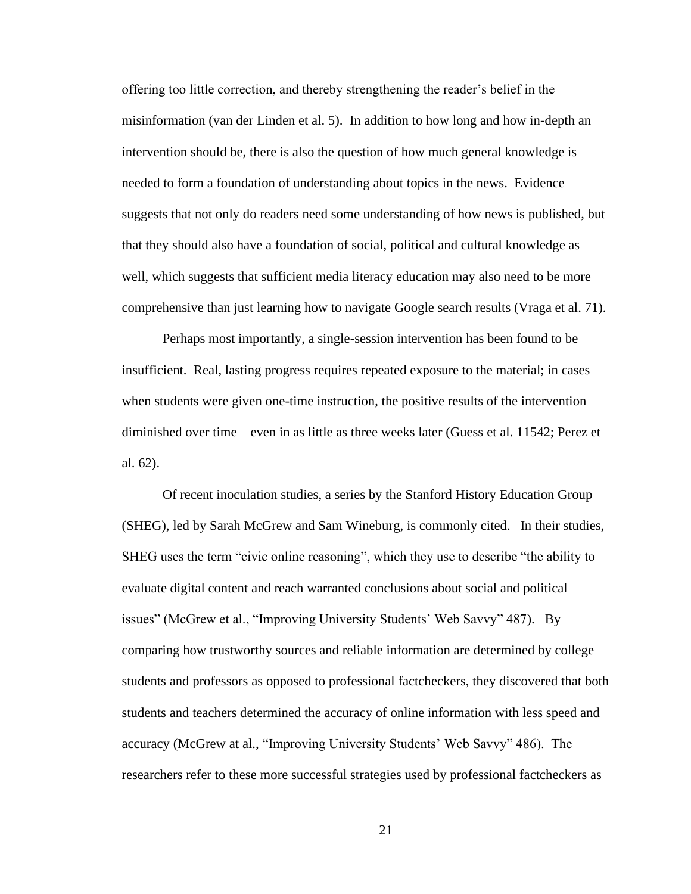offering too little correction, and thereby strengthening the reader's belief in the misinformation (van der Linden et al. 5). In addition to how long and how in-depth an intervention should be, there is also the question of how much general knowledge is needed to form a foundation of understanding about topics in the news. Evidence suggests that not only do readers need some understanding of how news is published, but that they should also have a foundation of social, political and cultural knowledge as well, which suggests that sufficient media literacy education may also need to be more comprehensive than just learning how to navigate Google search results (Vraga et al. 71).

Perhaps most importantly, a single-session intervention has been found to be insufficient. Real, lasting progress requires repeated exposure to the material; in cases when students were given one-time instruction, the positive results of the intervention diminished over time—even in as little as three weeks later (Guess et al. 11542; Perez et al. 62).

Of recent inoculation studies, a series by the Stanford History Education Group (SHEG), led by Sarah McGrew and Sam Wineburg, is commonly cited. In their studies, SHEG uses the term "civic online reasoning", which they use to describe "the ability to evaluate digital content and reach warranted conclusions about social and political issues" (McGrew et al., "Improving University Students' Web Savvy" 487). By comparing how trustworthy sources and reliable information are determined by college students and professors as opposed to professional factcheckers, they discovered that both students and teachers determined the accuracy of online information with less speed and accuracy (McGrew at al., "Improving University Students' Web Savvy" 486). The researchers refer to these more successful strategies used by professional factcheckers as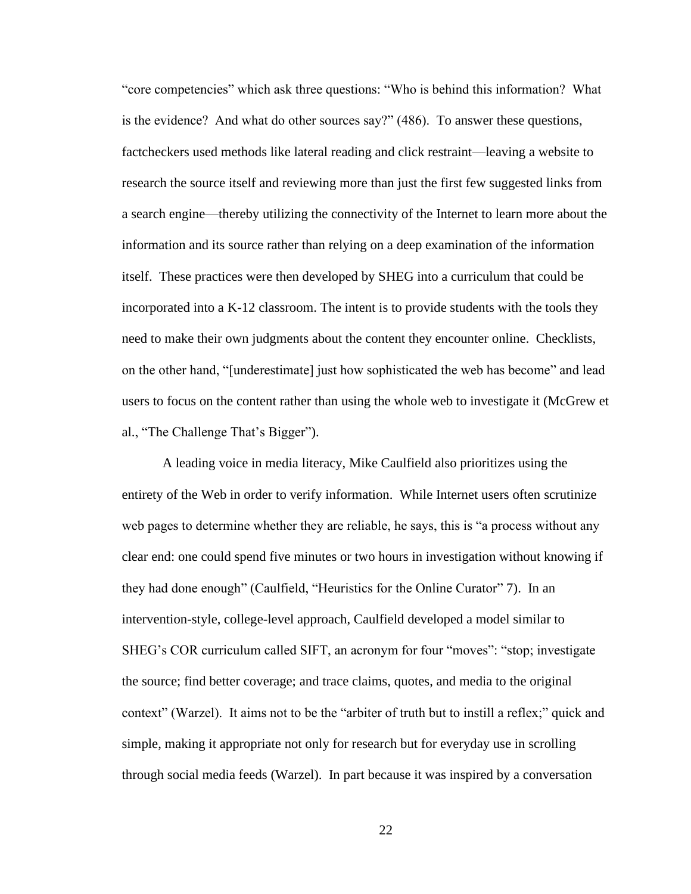"core competencies" which ask three questions: "Who is behind this information? What is the evidence? And what do other sources say?" (486). To answer these questions, factcheckers used methods like lateral reading and click restraint—leaving a website to research the source itself and reviewing more than just the first few suggested links from a search engine—thereby utilizing the connectivity of the Internet to learn more about the information and its source rather than relying on a deep examination of the information itself. These practices were then developed by SHEG into a curriculum that could be incorporated into a K-12 classroom. The intent is to provide students with the tools they need to make their own judgments about the content they encounter online. Checklists, on the other hand, "[underestimate] just how sophisticated the web has become" and lead users to focus on the content rather than using the whole web to investigate it (McGrew et al., "The Challenge That's Bigger").

A leading voice in media literacy, Mike Caulfield also prioritizes using the entirety of the Web in order to verify information. While Internet users often scrutinize web pages to determine whether they are reliable, he says, this is "a process without any clear end: one could spend five minutes or two hours in investigation without knowing if they had done enough" (Caulfield, "Heuristics for the Online Curator" 7). In an intervention-style, college-level approach, Caulfield developed a model similar to SHEG's COR curriculum called SIFT, an acronym for four "moves": "stop; investigate the source; find better coverage; and trace claims, quotes, and media to the original context" (Warzel). It aims not to be the "arbiter of truth but to instill a reflex;" quick and simple, making it appropriate not only for research but for everyday use in scrolling through social media feeds (Warzel). In part because it was inspired by a conversation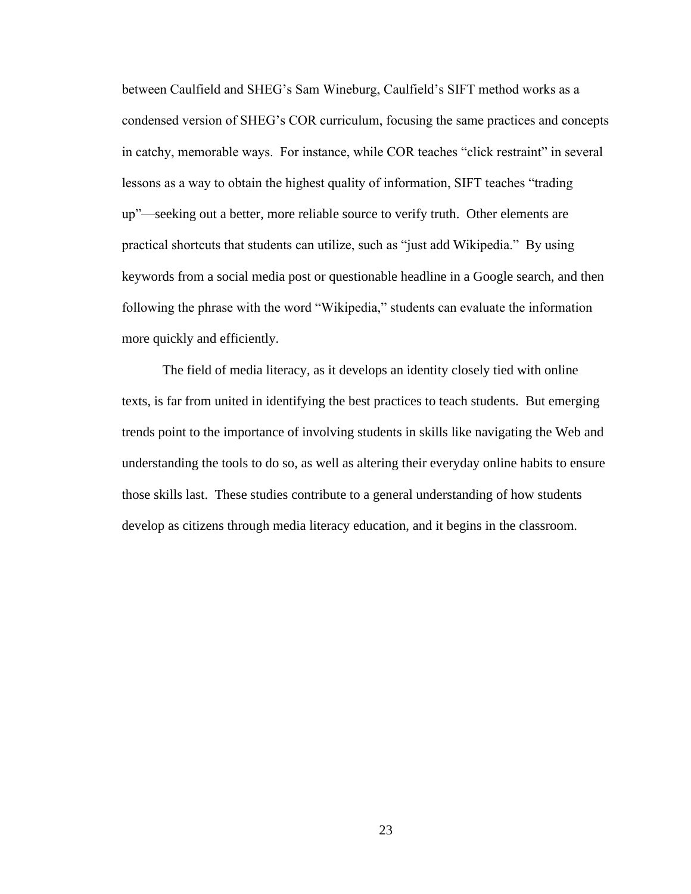between Caulfield and SHEG's Sam Wineburg, Caulfield's SIFT method works as a condensed version of SHEG's COR curriculum, focusing the same practices and concepts in catchy, memorable ways. For instance, while COR teaches "click restraint" in several lessons as a way to obtain the highest quality of information, SIFT teaches "trading up"—seeking out a better, more reliable source to verify truth. Other elements are practical shortcuts that students can utilize, such as "just add Wikipedia." By using keywords from a social media post or questionable headline in a Google search, and then following the phrase with the word "Wikipedia," students can evaluate the information more quickly and efficiently.

The field of media literacy, as it develops an identity closely tied with online texts, is far from united in identifying the best practices to teach students. But emerging trends point to the importance of involving students in skills like navigating the Web and understanding the tools to do so, as well as altering their everyday online habits to ensure those skills last. These studies contribute to a general understanding of how students develop as citizens through media literacy education, and it begins in the classroom.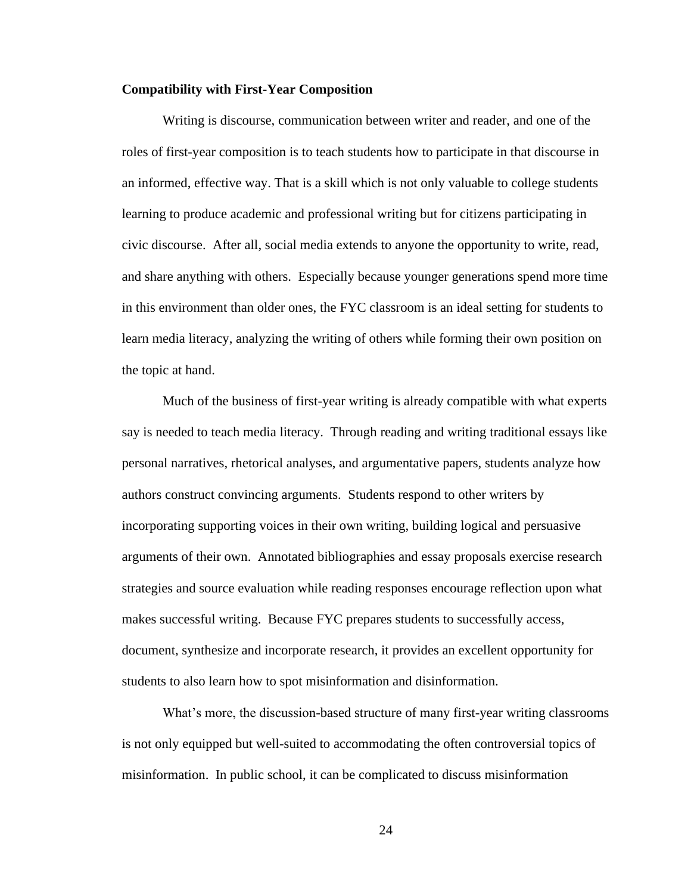#### **Compatibility with First-Year Composition**

Writing is discourse, communication between writer and reader, and one of the roles of first-year composition is to teach students how to participate in that discourse in an informed, effective way. That is a skill which is not only valuable to college students learning to produce academic and professional writing but for citizens participating in civic discourse. After all, social media extends to anyone the opportunity to write, read, and share anything with others. Especially because younger generations spend more time in this environment than older ones, the FYC classroom is an ideal setting for students to learn media literacy, analyzing the writing of others while forming their own position on the topic at hand.

Much of the business of first-year writing is already compatible with what experts say is needed to teach media literacy. Through reading and writing traditional essays like personal narratives, rhetorical analyses, and argumentative papers, students analyze how authors construct convincing arguments. Students respond to other writers by incorporating supporting voices in their own writing, building logical and persuasive arguments of their own. Annotated bibliographies and essay proposals exercise research strategies and source evaluation while reading responses encourage reflection upon what makes successful writing. Because FYC prepares students to successfully access, document, synthesize and incorporate research, it provides an excellent opportunity for students to also learn how to spot misinformation and disinformation.

What's more, the discussion-based structure of many first-year writing classrooms is not only equipped but well-suited to accommodating the often controversial topics of misinformation. In public school, it can be complicated to discuss misinformation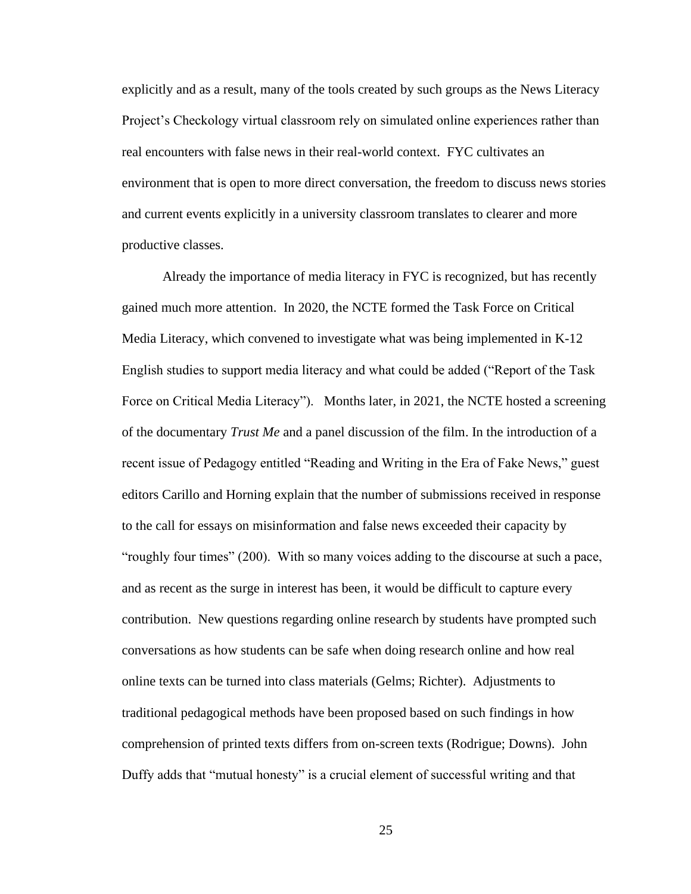explicitly and as a result, many of the tools created by such groups as the News Literacy Project's Checkology virtual classroom rely on simulated online experiences rather than real encounters with false news in their real-world context. FYC cultivates an environment that is open to more direct conversation, the freedom to discuss news stories and current events explicitly in a university classroom translates to clearer and more productive classes.

Already the importance of media literacy in FYC is recognized, but has recently gained much more attention. In 2020, the NCTE formed the Task Force on Critical Media Literacy, which convened to investigate what was being implemented in K-12 English studies to support media literacy and what could be added ("Report of the Task Force on Critical Media Literacy"). Months later, in 2021, the NCTE hosted a screening of the documentary *Trust Me* and a panel discussion of the film. In the introduction of a recent issue of Pedagogy entitled "Reading and Writing in the Era of Fake News," guest editors Carillo and Horning explain that the number of submissions received in response to the call for essays on misinformation and false news exceeded their capacity by "roughly four times" (200). With so many voices adding to the discourse at such a pace, and as recent as the surge in interest has been, it would be difficult to capture every contribution. New questions regarding online research by students have prompted such conversations as how students can be safe when doing research online and how real online texts can be turned into class materials (Gelms; Richter). Adjustments to traditional pedagogical methods have been proposed based on such findings in how comprehension of printed texts differs from on-screen texts (Rodrigue; Downs). John Duffy adds that "mutual honesty" is a crucial element of successful writing and that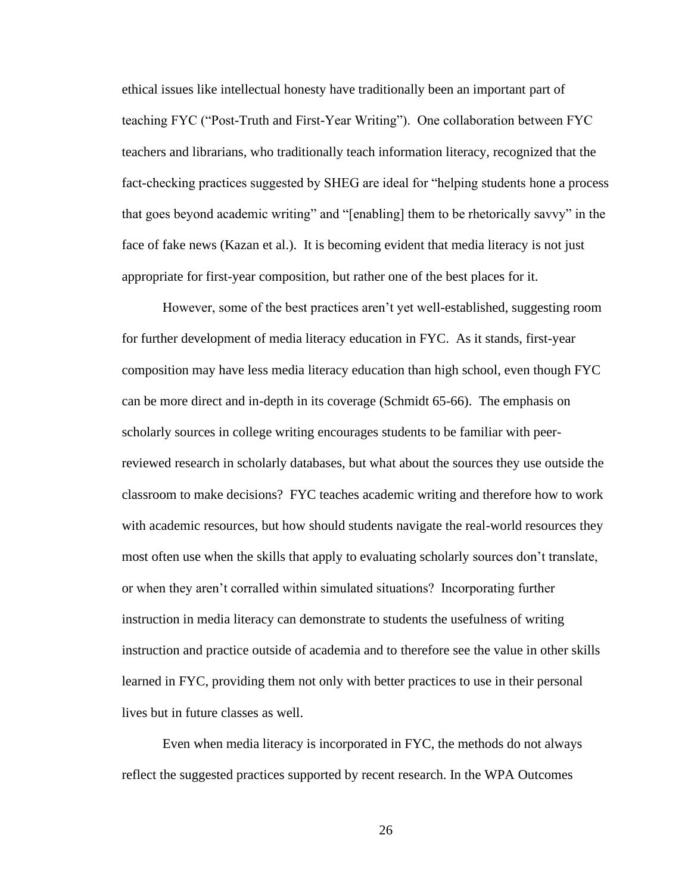ethical issues like intellectual honesty have traditionally been an important part of teaching FYC ("Post-Truth and First-Year Writing"). One collaboration between FYC teachers and librarians, who traditionally teach information literacy, recognized that the fact-checking practices suggested by SHEG are ideal for "helping students hone a process that goes beyond academic writing" and "[enabling] them to be rhetorically savvy" in the face of fake news (Kazan et al.). It is becoming evident that media literacy is not just appropriate for first-year composition, but rather one of the best places for it.

However, some of the best practices aren't yet well-established, suggesting room for further development of media literacy education in FYC. As it stands, first-year composition may have less media literacy education than high school, even though FYC can be more direct and in-depth in its coverage (Schmidt 65-66). The emphasis on scholarly sources in college writing encourages students to be familiar with peerreviewed research in scholarly databases, but what about the sources they use outside the classroom to make decisions? FYC teaches academic writing and therefore how to work with academic resources, but how should students navigate the real-world resources they most often use when the skills that apply to evaluating scholarly sources don't translate, or when they aren't corralled within simulated situations? Incorporating further instruction in media literacy can demonstrate to students the usefulness of writing instruction and practice outside of academia and to therefore see the value in other skills learned in FYC, providing them not only with better practices to use in their personal lives but in future classes as well.

Even when media literacy is incorporated in FYC, the methods do not always reflect the suggested practices supported by recent research. In the WPA Outcomes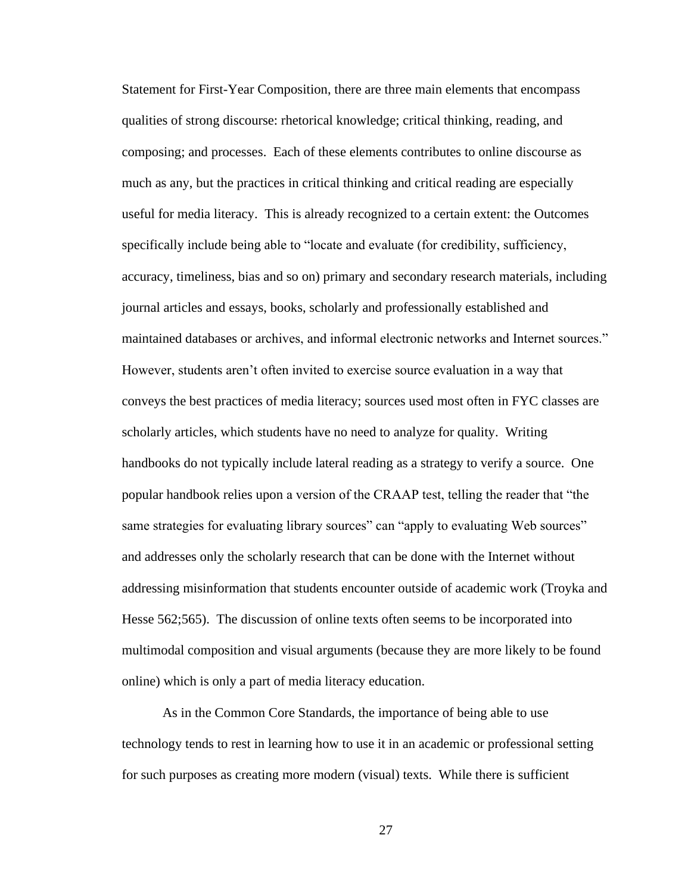Statement for First-Year Composition, there are three main elements that encompass qualities of strong discourse: rhetorical knowledge; critical thinking, reading, and composing; and processes. Each of these elements contributes to online discourse as much as any, but the practices in critical thinking and critical reading are especially useful for media literacy. This is already recognized to a certain extent: the Outcomes specifically include being able to "locate and evaluate (for credibility, sufficiency, accuracy, timeliness, bias and so on) primary and secondary research materials, including journal articles and essays, books, scholarly and professionally established and maintained databases or archives, and informal electronic networks and Internet sources." However, students aren't often invited to exercise source evaluation in a way that conveys the best practices of media literacy; sources used most often in FYC classes are scholarly articles, which students have no need to analyze for quality. Writing handbooks do not typically include lateral reading as a strategy to verify a source. One popular handbook relies upon a version of the CRAAP test, telling the reader that "the same strategies for evaluating library sources" can "apply to evaluating Web sources" and addresses only the scholarly research that can be done with the Internet without addressing misinformation that students encounter outside of academic work (Troyka and Hesse 562;565). The discussion of online texts often seems to be incorporated into multimodal composition and visual arguments (because they are more likely to be found online) which is only a part of media literacy education.

As in the Common Core Standards, the importance of being able to use technology tends to rest in learning how to use it in an academic or professional setting for such purposes as creating more modern (visual) texts. While there is sufficient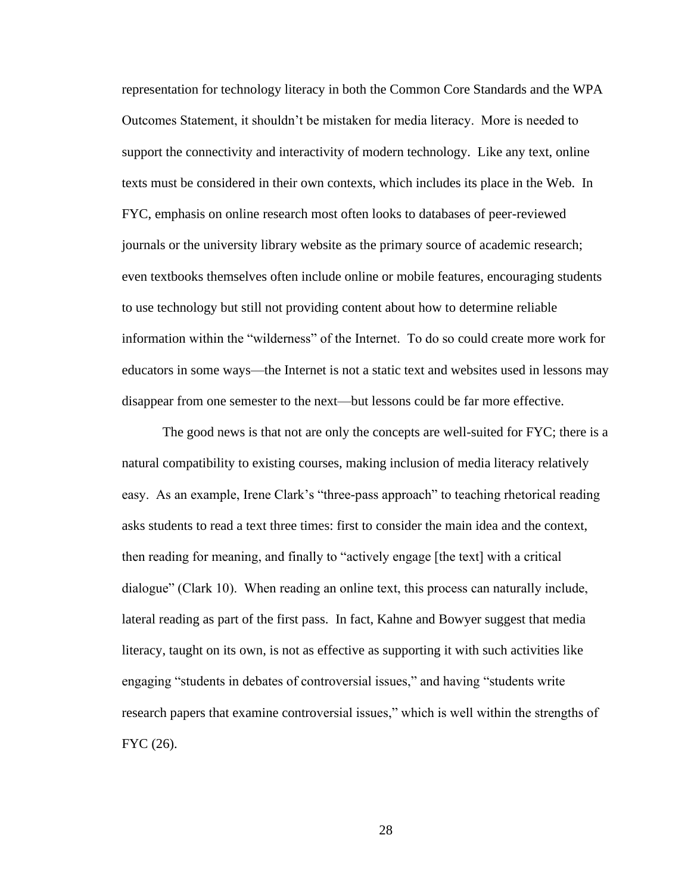representation for technology literacy in both the Common Core Standards and the WPA Outcomes Statement, it shouldn't be mistaken for media literacy. More is needed to support the connectivity and interactivity of modern technology. Like any text, online texts must be considered in their own contexts, which includes its place in the Web. In FYC, emphasis on online research most often looks to databases of peer-reviewed journals or the university library website as the primary source of academic research; even textbooks themselves often include online or mobile features, encouraging students to use technology but still not providing content about how to determine reliable information within the "wilderness" of the Internet. To do so could create more work for educators in some ways—the Internet is not a static text and websites used in lessons may disappear from one semester to the next—but lessons could be far more effective.

The good news is that not are only the concepts are well-suited for FYC; there is a natural compatibility to existing courses, making inclusion of media literacy relatively easy. As an example, Irene Clark's "three-pass approach" to teaching rhetorical reading asks students to read a text three times: first to consider the main idea and the context, then reading for meaning, and finally to "actively engage [the text] with a critical dialogue" (Clark 10). When reading an online text, this process can naturally include, lateral reading as part of the first pass. In fact, Kahne and Bowyer suggest that media literacy, taught on its own, is not as effective as supporting it with such activities like engaging "students in debates of controversial issues," and having "students write research papers that examine controversial issues," which is well within the strengths of FYC (26).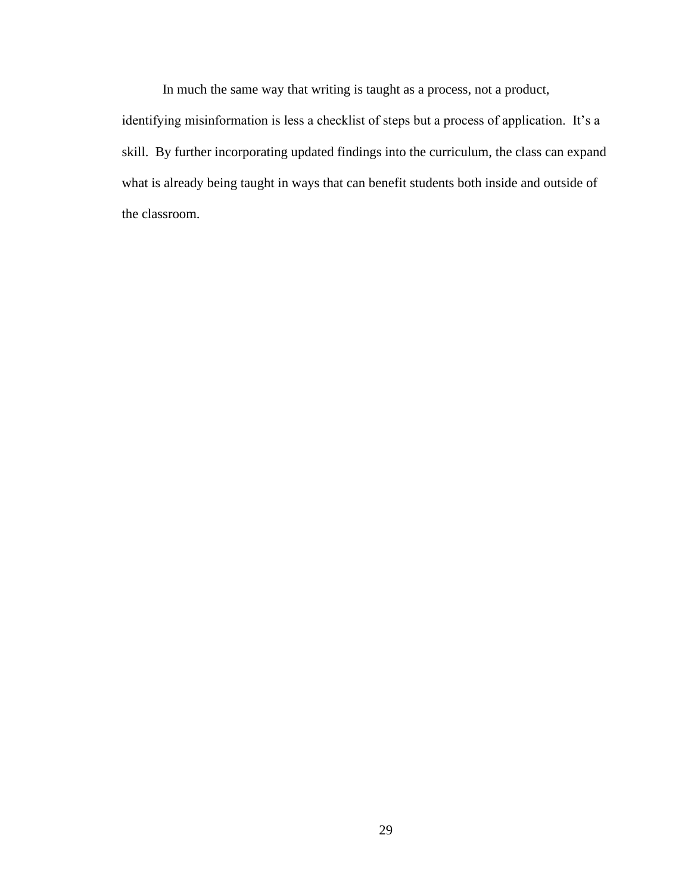In much the same way that writing is taught as a process, not a product, identifying misinformation is less a checklist of steps but a process of application. It's a skill. By further incorporating updated findings into the curriculum, the class can expand what is already being taught in ways that can benefit students both inside and outside of the classroom.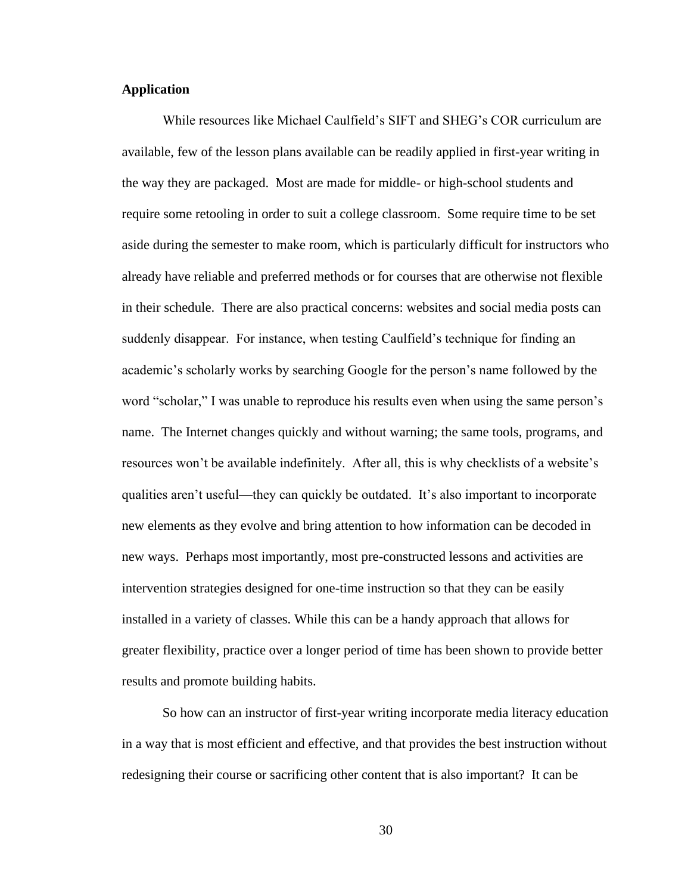### **Application**

While resources like Michael Caulfield's SIFT and SHEG's COR curriculum are available, few of the lesson plans available can be readily applied in first-year writing in the way they are packaged. Most are made for middle- or high-school students and require some retooling in order to suit a college classroom. Some require time to be set aside during the semester to make room, which is particularly difficult for instructors who already have reliable and preferred methods or for courses that are otherwise not flexible in their schedule. There are also practical concerns: websites and social media posts can suddenly disappear. For instance, when testing Caulfield's technique for finding an academic's scholarly works by searching Google for the person's name followed by the word "scholar," I was unable to reproduce his results even when using the same person's name. The Internet changes quickly and without warning; the same tools, programs, and resources won't be available indefinitely. After all, this is why checklists of a website's qualities aren't useful—they can quickly be outdated. It's also important to incorporate new elements as they evolve and bring attention to how information can be decoded in new ways. Perhaps most importantly, most pre-constructed lessons and activities are intervention strategies designed for one-time instruction so that they can be easily installed in a variety of classes. While this can be a handy approach that allows for greater flexibility, practice over a longer period of time has been shown to provide better results and promote building habits.

So how can an instructor of first-year writing incorporate media literacy education in a way that is most efficient and effective, and that provides the best instruction without redesigning their course or sacrificing other content that is also important? It can be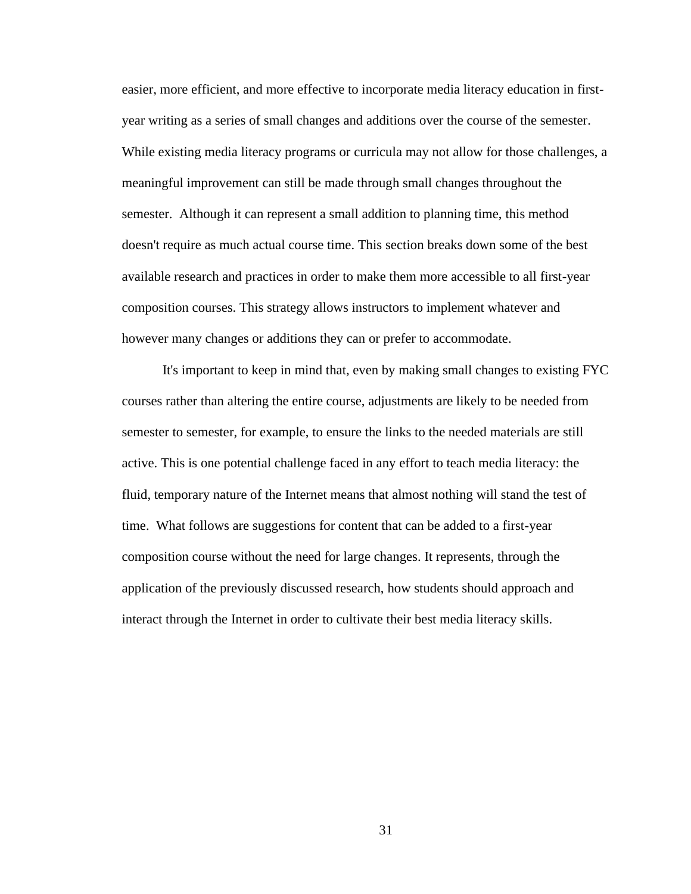easier, more efficient, and more effective to incorporate media literacy education in firstyear writing as a series of small changes and additions over the course of the semester. While existing media literacy programs or curricula may not allow for those challenges, a meaningful improvement can still be made through small changes throughout the semester. Although it can represent a small addition to planning time, this method doesn't require as much actual course time. This section breaks down some of the best available research and practices in order to make them more accessible to all first-year composition courses. This strategy allows instructors to implement whatever and however many changes or additions they can or prefer to accommodate.

It's important to keep in mind that, even by making small changes to existing FYC courses rather than altering the entire course, adjustments are likely to be needed from semester to semester, for example, to ensure the links to the needed materials are still active. This is one potential challenge faced in any effort to teach media literacy: the fluid, temporary nature of the Internet means that almost nothing will stand the test of time. What follows are suggestions for content that can be added to a first-year composition course without the need for large changes. It represents, through the application of the previously discussed research, how students should approach and interact through the Internet in order to cultivate their best media literacy skills.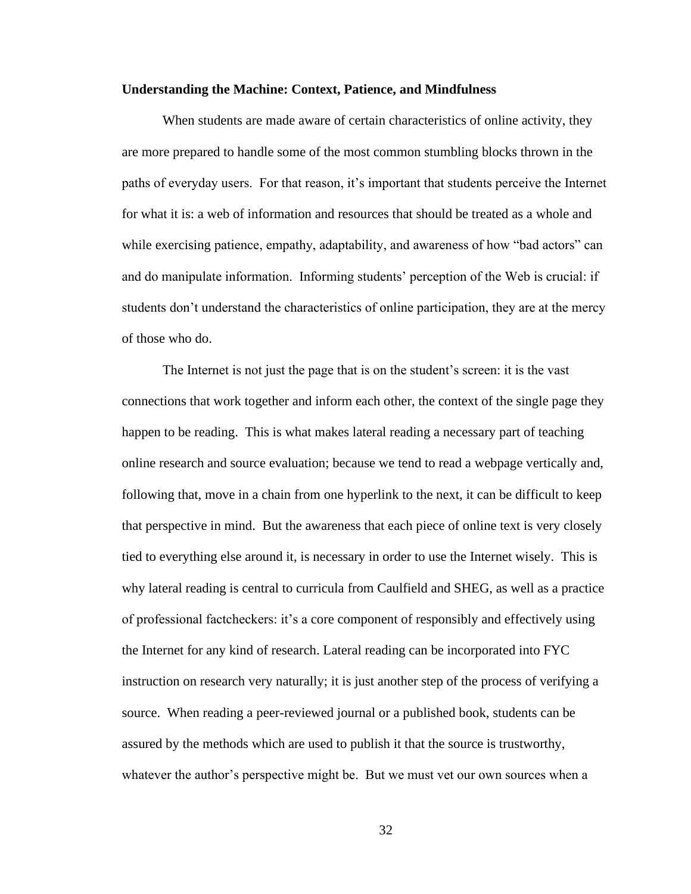#### **Understanding the Machine: Context, Patience, and Mindfulness**

When students are made aware of certain characteristics of online activity, they are more prepared to handle some of the most common stumbling blocks thrown in the paths of everyday users. For that reason, it's important that students perceive the Internet for what it is: a web of information and resources that should be treated as a whole and while exercising patience, empathy, adaptability, and awareness of how "bad actors" can and do manipulate information. Informing students' perception of the Web is crucial: if students don't understand the characteristics of online participation, they are at the mercy of those who do.

The Internet is not just the page that is on the student's screen: it is the vast connections that work together and inform each other, the context of the single page they happen to be reading. This is what makes lateral reading a necessary part of teaching online research and source evaluation; because we tend to read a webpage vertically and, following that, move in a chain from one hyperlink to the next, it can be difficult to keep that perspective in mind. But the awareness that each piece of online text is very closely tied to everything else around it, is necessary in order to use the Internet wisely. This is why lateral reading is central to curricula from Caulfield and SHEG, as well as a practice of professional factcheckers: it's a core component of responsibly and effectively using the Internet for any kind of research. Lateral reading can be incorporated into FYC instruction on research very naturally; it is just another step of the process of verifying a source. When reading a peer-reviewed journal or a published book, students can be assured by the methods which are used to publish it that the source is trustworthy, whatever the author's perspective might be. But we must vet our own sources when a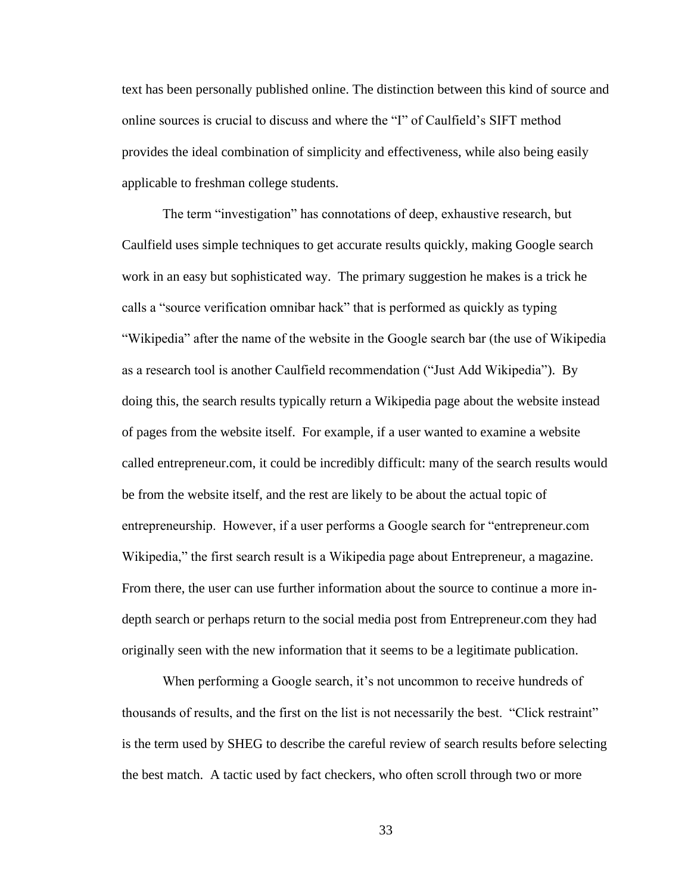text has been personally published online. The distinction between this kind of source and online sources is crucial to discuss and where the "I" of Caulfield's SIFT method provides the ideal combination of simplicity and effectiveness, while also being easily applicable to freshman college students.

The term "investigation" has connotations of deep, exhaustive research, but Caulfield uses simple techniques to get accurate results quickly, making Google search work in an easy but sophisticated way. The primary suggestion he makes is a trick he calls a "source verification omnibar hack" that is performed as quickly as typing "Wikipedia" after the name of the website in the Google search bar (the use of Wikipedia as a research tool is another Caulfield recommendation ("Just Add Wikipedia"). By doing this, the search results typically return a Wikipedia page about the website instead of pages from the website itself. For example, if a user wanted to examine a website called entrepreneur.com, it could be incredibly difficult: many of the search results would be from the website itself, and the rest are likely to be about the actual topic of entrepreneurship. However, if a user performs a Google search for "entrepreneur.com Wikipedia," the first search result is a Wikipedia page about Entrepreneur, a magazine. From there, the user can use further information about the source to continue a more indepth search or perhaps return to the social media post from Entrepreneur.com they had originally seen with the new information that it seems to be a legitimate publication.

When performing a Google search, it's not uncommon to receive hundreds of thousands of results, and the first on the list is not necessarily the best. "Click restraint" is the term used by SHEG to describe the careful review of search results before selecting the best match. A tactic used by fact checkers, who often scroll through two or more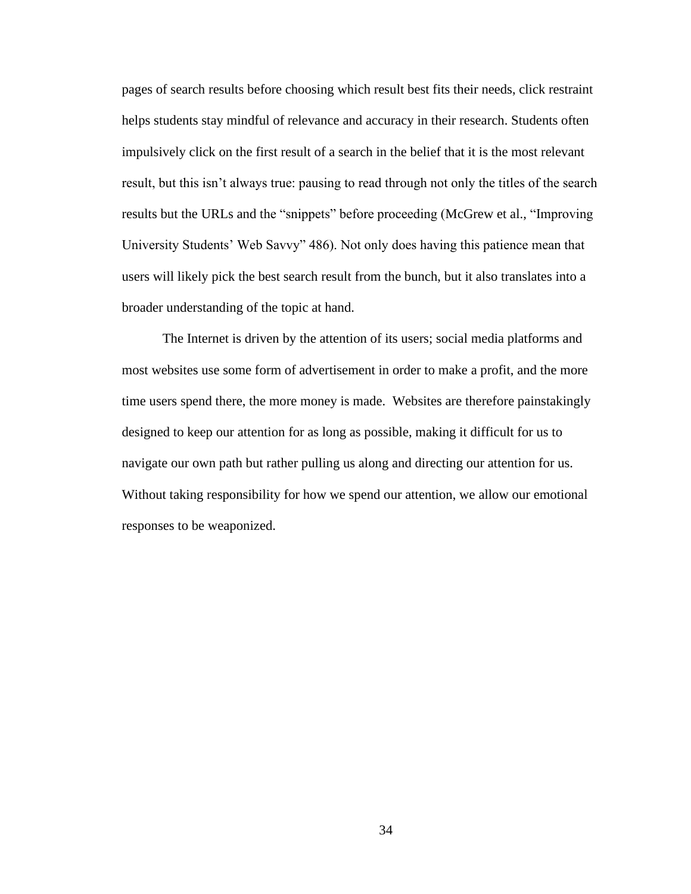pages of search results before choosing which result best fits their needs, click restraint helps students stay mindful of relevance and accuracy in their research. Students often impulsively click on the first result of a search in the belief that it is the most relevant result, but this isn't always true: pausing to read through not only the titles of the search results but the URLs and the "snippets" before proceeding (McGrew et al., "Improving University Students' Web Savvy" 486). Not only does having this patience mean that users will likely pick the best search result from the bunch, but it also translates into a broader understanding of the topic at hand.

The Internet is driven by the attention of its users; social media platforms and most websites use some form of advertisement in order to make a profit, and the more time users spend there, the more money is made. Websites are therefore painstakingly designed to keep our attention for as long as possible, making it difficult for us to navigate our own path but rather pulling us along and directing our attention for us. Without taking responsibility for how we spend our attention, we allow our emotional responses to be weaponized.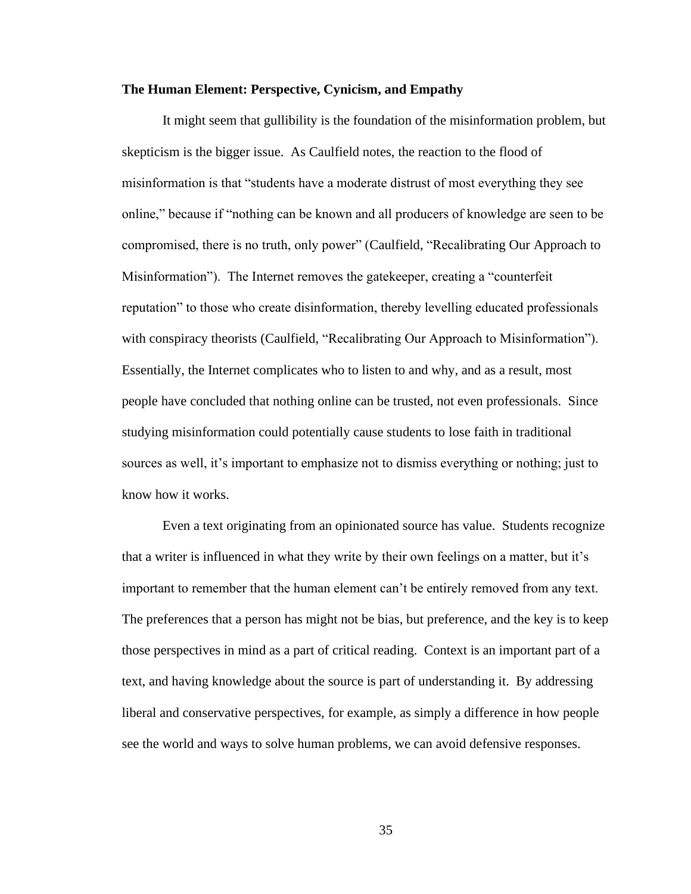#### **The Human Element: Perspective, Cynicism, and Empathy**

It might seem that gullibility is the foundation of the misinformation problem, but skepticism is the bigger issue. As Caulfield notes, the reaction to the flood of misinformation is that "students have a moderate distrust of most everything they see online," because if "nothing can be known and all producers of knowledge are seen to be compromised, there is no truth, only power" (Caulfield, "Recalibrating Our Approach to Misinformation"). The Internet removes the gatekeeper, creating a "counterfeit reputation" to those who create disinformation, thereby levelling educated professionals with conspiracy theorists (Caulfield, "Recalibrating Our Approach to Misinformation"). Essentially, the Internet complicates who to listen to and why, and as a result, most people have concluded that nothing online can be trusted, not even professionals. Since studying misinformation could potentially cause students to lose faith in traditional sources as well, it's important to emphasize not to dismiss everything or nothing; just to know how it works.

Even a text originating from an opinionated source has value. Students recognize that a writer is influenced in what they write by their own feelings on a matter, but it's important to remember that the human element can't be entirely removed from any text. The preferences that a person has might not be bias, but preference, and the key is to keep those perspectives in mind as a part of critical reading. Context is an important part of a text, and having knowledge about the source is part of understanding it. By addressing liberal and conservative perspectives, for example, as simply a difference in how people see the world and ways to solve human problems, we can avoid defensive responses.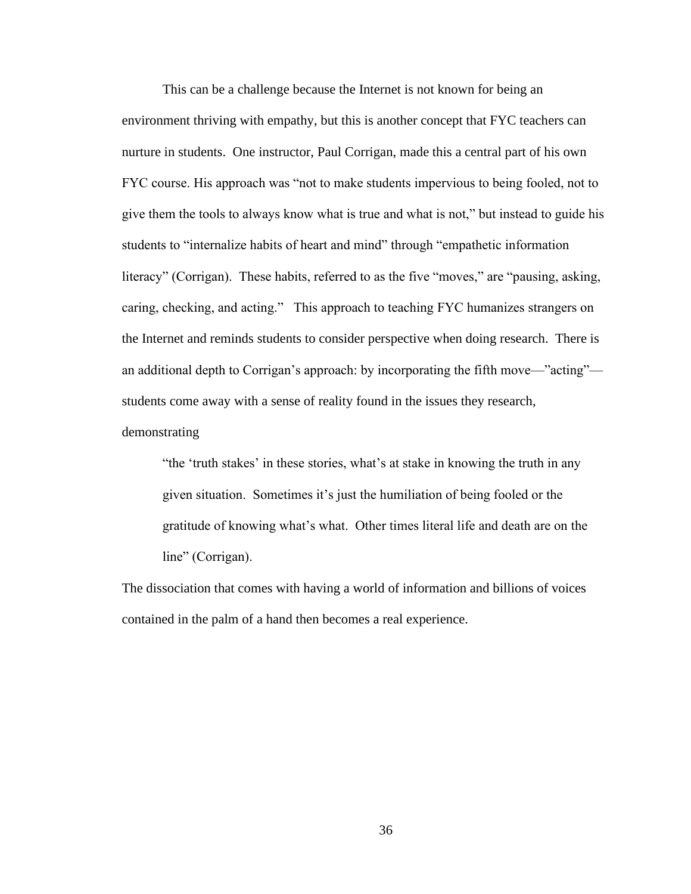This can be a challenge because the Internet is not known for being an environment thriving with empathy, but this is another concept that FYC teachers can nurture in students. One instructor, Paul Corrigan, made this a central part of his own FYC course. His approach was "not to make students impervious to being fooled, not to give them the tools to always know what is true and what is not," but instead to guide his students to "internalize habits of heart and mind" through "empathetic information literacy" (Corrigan). These habits, referred to as the five "moves," are "pausing, asking, caring, checking, and acting." This approach to teaching FYC humanizes strangers on the Internet and reminds students to consider perspective when doing research. There is an additional depth to Corrigan's approach: by incorporating the fifth move—"acting" students come away with a sense of reality found in the issues they research, demonstrating

"the 'truth stakes' in these stories, what's at stake in knowing the truth in any given situation. Sometimes it's just the humiliation of being fooled or the gratitude of knowing what's what. Other times literal life and death are on the line" (Corrigan).

The dissociation that comes with having a world of information and billions of voices contained in the palm of a hand then becomes a real experience.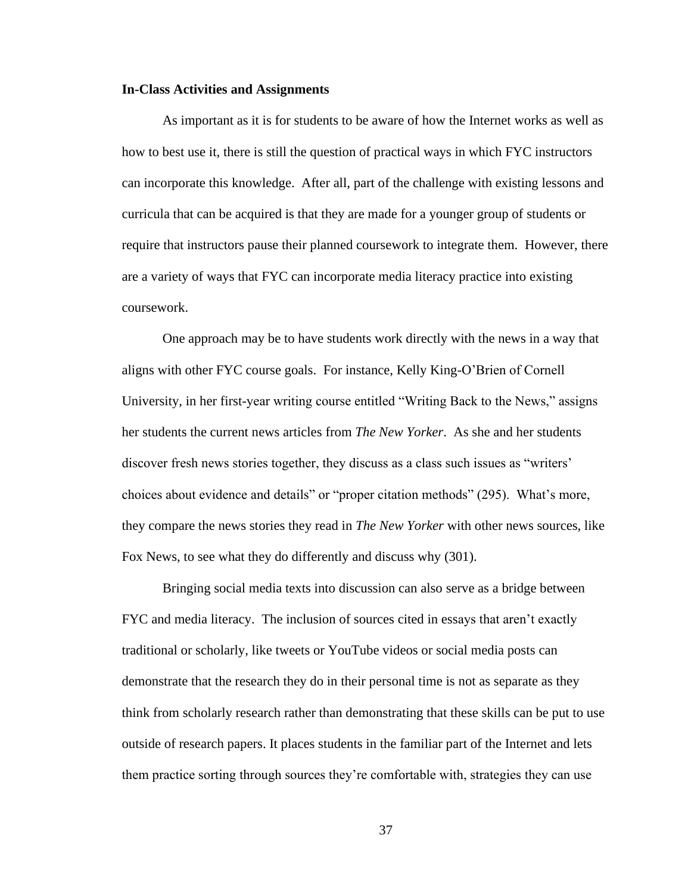#### **In-Class Activities and Assignments**

As important as it is for students to be aware of how the Internet works as well as how to best use it, there is still the question of practical ways in which FYC instructors can incorporate this knowledge. After all, part of the challenge with existing lessons and curricula that can be acquired is that they are made for a younger group of students or require that instructors pause their planned coursework to integrate them. However, there are a variety of ways that FYC can incorporate media literacy practice into existing coursework.

One approach may be to have students work directly with the news in a way that aligns with other FYC course goals. For instance, Kelly King-O'Brien of Cornell University, in her first-year writing course entitled "Writing Back to the News," assigns her students the current news articles from *The New Yorker*. As she and her students discover fresh news stories together, they discuss as a class such issues as "writers' choices about evidence and details" or "proper citation methods" (295). What's more, they compare the news stories they read in *The New Yorker* with other news sources, like Fox News, to see what they do differently and discuss why (301).

Bringing social media texts into discussion can also serve as a bridge between FYC and media literacy. The inclusion of sources cited in essays that aren't exactly traditional or scholarly, like tweets or YouTube videos or social media posts can demonstrate that the research they do in their personal time is not as separate as they think from scholarly research rather than demonstrating that these skills can be put to use outside of research papers. It places students in the familiar part of the Internet and lets them practice sorting through sources they're comfortable with, strategies they can use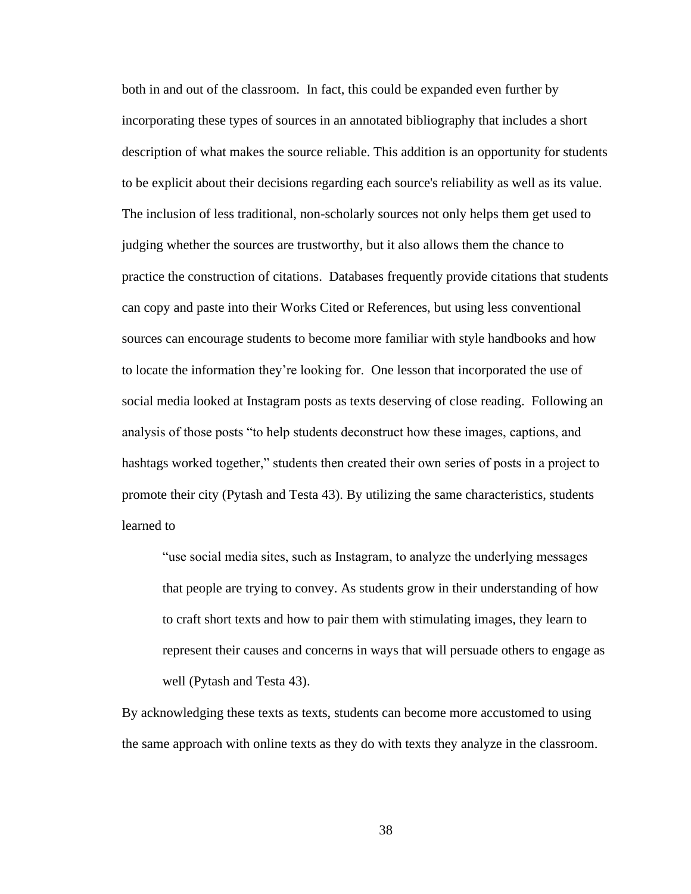both in and out of the classroom. In fact, this could be expanded even further by incorporating these types of sources in an annotated bibliography that includes a short description of what makes the source reliable. This addition is an opportunity for students to be explicit about their decisions regarding each source's reliability as well as its value. The inclusion of less traditional, non-scholarly sources not only helps them get used to judging whether the sources are trustworthy, but it also allows them the chance to practice the construction of citations. Databases frequently provide citations that students can copy and paste into their Works Cited or References, but using less conventional sources can encourage students to become more familiar with style handbooks and how to locate the information they're looking for. One lesson that incorporated the use of social media looked at Instagram posts as texts deserving of close reading. Following an analysis of those posts "to help students deconstruct how these images, captions, and hashtags worked together," students then created their own series of posts in a project to promote their city (Pytash and Testa 43). By utilizing the same characteristics, students learned to

"use social media sites, such as Instagram, to analyze the underlying messages that people are trying to convey. As students grow in their understanding of how to craft short texts and how to pair them with stimulating images, they learn to represent their causes and concerns in ways that will persuade others to engage as well (Pytash and Testa 43).

By acknowledging these texts as texts, students can become more accustomed to using the same approach with online texts as they do with texts they analyze in the classroom.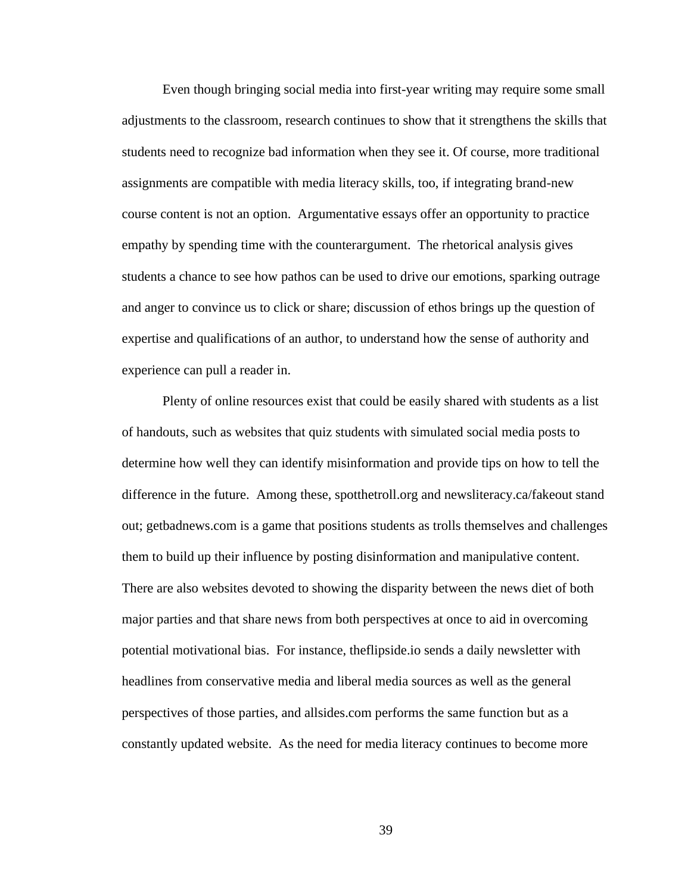Even though bringing social media into first-year writing may require some small adjustments to the classroom, research continues to show that it strengthens the skills that students need to recognize bad information when they see it. Of course, more traditional assignments are compatible with media literacy skills, too, if integrating brand-new course content is not an option. Argumentative essays offer an opportunity to practice empathy by spending time with the counterargument. The rhetorical analysis gives students a chance to see how pathos can be used to drive our emotions, sparking outrage and anger to convince us to click or share; discussion of ethos brings up the question of expertise and qualifications of an author, to understand how the sense of authority and experience can pull a reader in.

Plenty of online resources exist that could be easily shared with students as a list of handouts, such as websites that quiz students with simulated social media posts to determine how well they can identify misinformation and provide tips on how to tell the difference in the future. Among these, spotthetroll.org and newsliteracy.ca/fakeout stand out; getbadnews.com is a game that positions students as trolls themselves and challenges them to build up their influence by posting disinformation and manipulative content. There are also websites devoted to showing the disparity between the news diet of both major parties and that share news from both perspectives at once to aid in overcoming potential motivational bias. For instance, theflipside.io sends a daily newsletter with headlines from conservative media and liberal media sources as well as the general perspectives of those parties, and allsides.com performs the same function but as a constantly updated website. As the need for media literacy continues to become more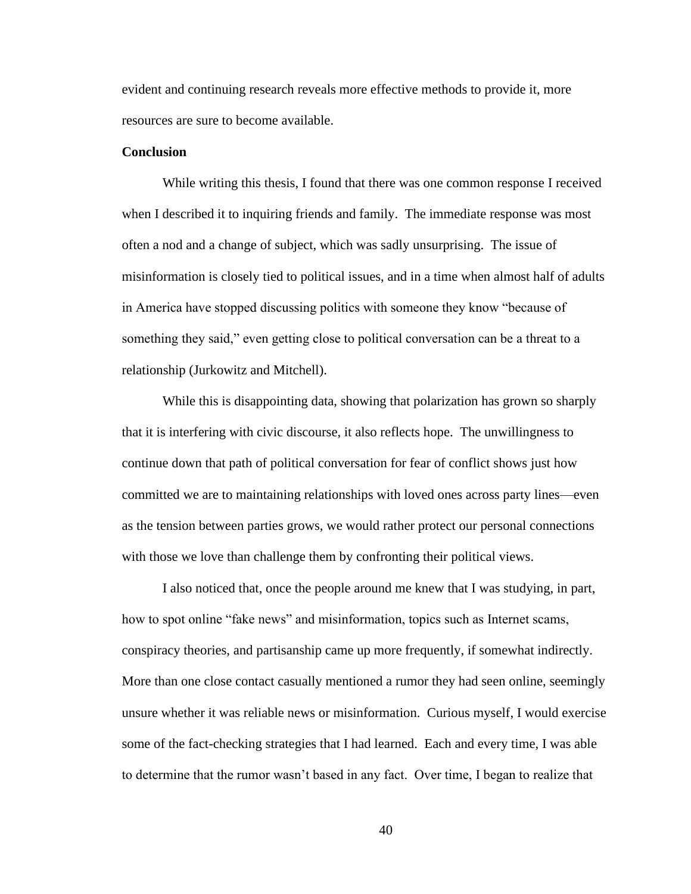evident and continuing research reveals more effective methods to provide it, more resources are sure to become available.

#### **Conclusion**

While writing this thesis, I found that there was one common response I received when I described it to inquiring friends and family. The immediate response was most often a nod and a change of subject, which was sadly unsurprising. The issue of misinformation is closely tied to political issues, and in a time when almost half of adults in America have stopped discussing politics with someone they know "because of something they said," even getting close to political conversation can be a threat to a relationship (Jurkowitz and Mitchell).

While this is disappointing data, showing that polarization has grown so sharply that it is interfering with civic discourse, it also reflects hope. The unwillingness to continue down that path of political conversation for fear of conflict shows just how committed we are to maintaining relationships with loved ones across party lines—even as the tension between parties grows, we would rather protect our personal connections with those we love than challenge them by confronting their political views.

I also noticed that, once the people around me knew that I was studying, in part, how to spot online "fake news" and misinformation, topics such as Internet scams, conspiracy theories, and partisanship came up more frequently, if somewhat indirectly. More than one close contact casually mentioned a rumor they had seen online, seemingly unsure whether it was reliable news or misinformation. Curious myself, I would exercise some of the fact-checking strategies that I had learned. Each and every time, I was able to determine that the rumor wasn't based in any fact. Over time, I began to realize that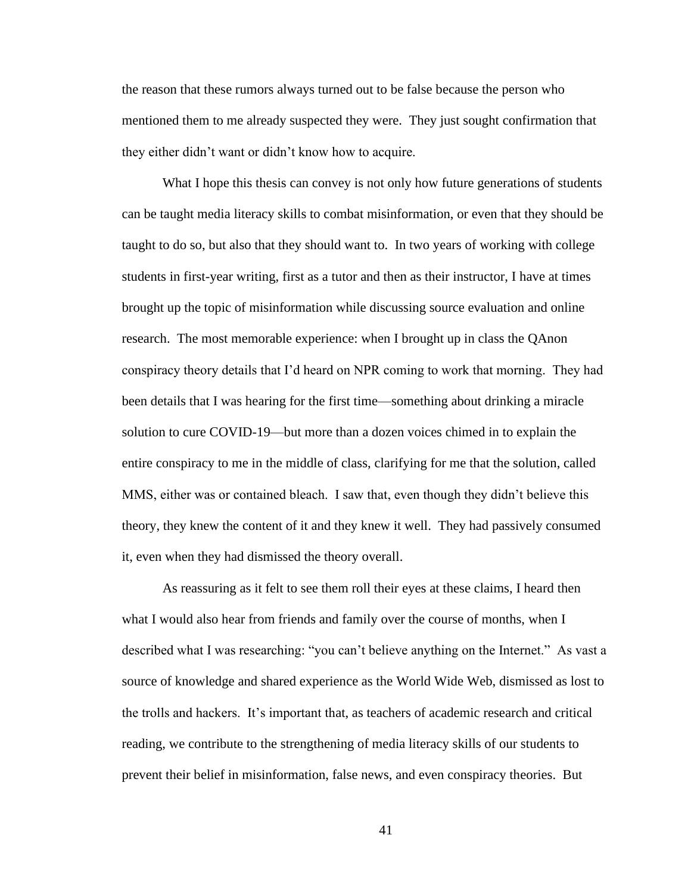the reason that these rumors always turned out to be false because the person who mentioned them to me already suspected they were. They just sought confirmation that they either didn't want or didn't know how to acquire.

What I hope this thesis can convey is not only how future generations of students can be taught media literacy skills to combat misinformation, or even that they should be taught to do so, but also that they should want to. In two years of working with college students in first-year writing, first as a tutor and then as their instructor, I have at times brought up the topic of misinformation while discussing source evaluation and online research. The most memorable experience: when I brought up in class the QAnon conspiracy theory details that I'd heard on NPR coming to work that morning. They had been details that I was hearing for the first time—something about drinking a miracle solution to cure COVID-19—but more than a dozen voices chimed in to explain the entire conspiracy to me in the middle of class, clarifying for me that the solution, called MMS, either was or contained bleach. I saw that, even though they didn't believe this theory, they knew the content of it and they knew it well. They had passively consumed it, even when they had dismissed the theory overall.

As reassuring as it felt to see them roll their eyes at these claims, I heard then what I would also hear from friends and family over the course of months, when I described what I was researching: "you can't believe anything on the Internet." As vast a source of knowledge and shared experience as the World Wide Web, dismissed as lost to the trolls and hackers. It's important that, as teachers of academic research and critical reading, we contribute to the strengthening of media literacy skills of our students to prevent their belief in misinformation, false news, and even conspiracy theories. But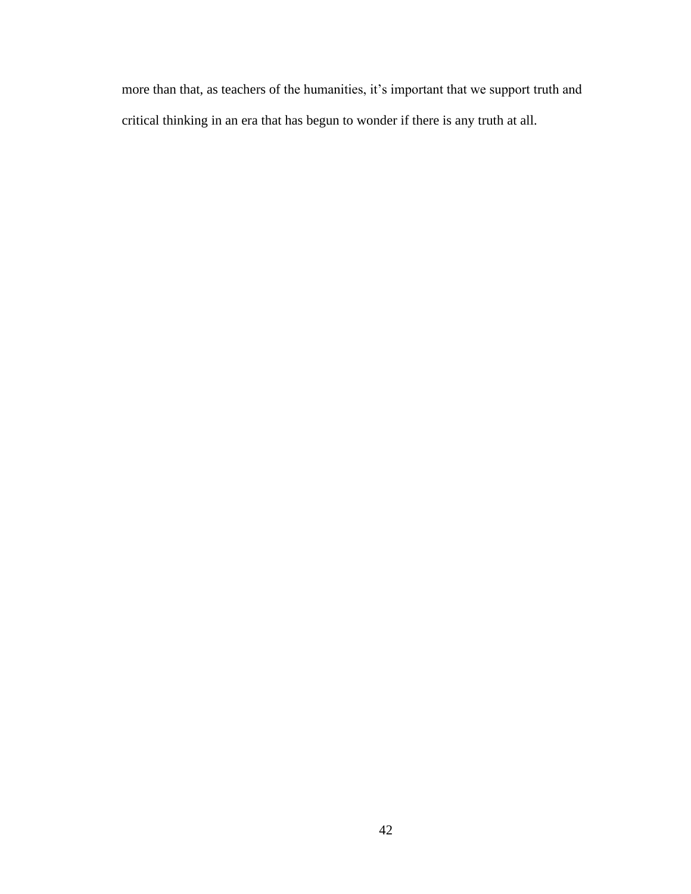more than that, as teachers of the humanities, it's important that we support truth and critical thinking in an era that has begun to wonder if there is any truth at all.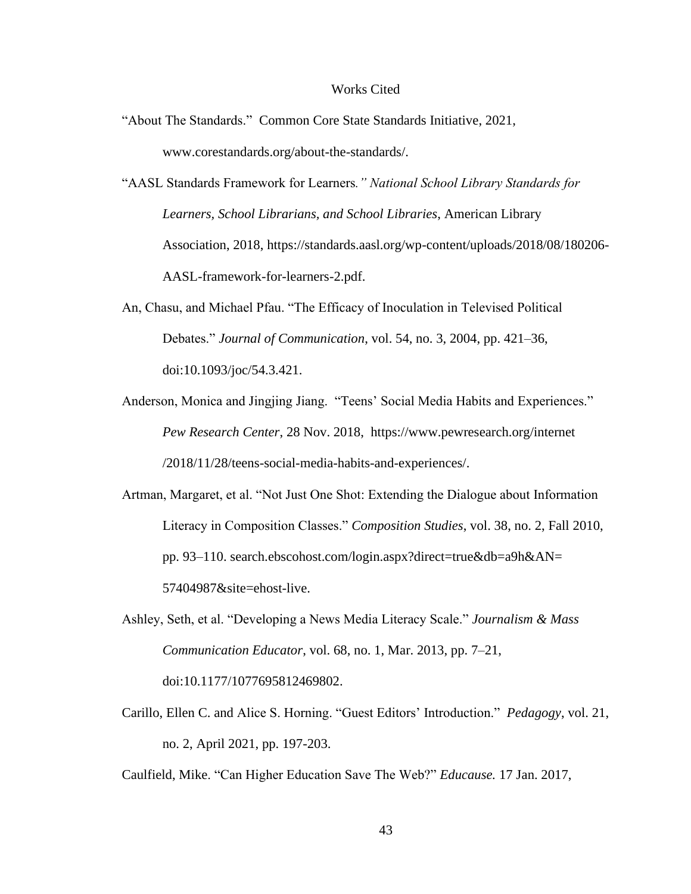#### Works Cited

- "About The Standards." Common Core State Standards Initiative, 2021, www.corestandards.org/about-the-standards/.
- "AASL Standards Framework for Learners*." National School Library Standards for Learners, School Librarians, and School Libraries*, American Library Association, 2018, <https://standards.aasl.org/wp-content/uploads/2018/08/180206-> AASL-framework-for-learners-2.pdf.
- An, Chasu, and Michael Pfau. "The Efficacy of Inoculation in Televised Political Debates." *Journal of Communication*, vol. 54, no. 3, 2004, pp. 421–36, doi:10.1093/joc/54.3.421.
- Anderson, Monica and Jingjing Jiang. "Teens' Social Media Habits and Experiences." *Pew Research Center*, 28 Nov. 2018, <https://www.pewresearch.org/internet> /2018/11/28/teens-social-media-habits-and-experiences/.
- Artman, Margaret, et al. "Not Just One Shot: Extending the Dialogue about Information Literacy in Composition Classes." *Composition Studies*, vol. 38, no. 2, Fall 2010, pp. 93–110. search.ebscohost.com/login.aspx?direct=true&db=a9h&AN= 57404987&site=ehost-live.
- Ashley, Seth, et al. "Developing a News Media Literacy Scale." *Journalism & Mass Communication Educator*, vol. 68, no. 1, Mar. 2013, pp. 7–21, doi:10.1177/1077695812469802.
- Carillo, Ellen C. and Alice S. Horning. "Guest Editors' Introduction." *Pedagogy*, vol. 21, no. 2, April 2021, pp. 197-203.

Caulfield, Mike. "Can Higher Education Save The Web?" *Educause.* 17 Jan. 2017,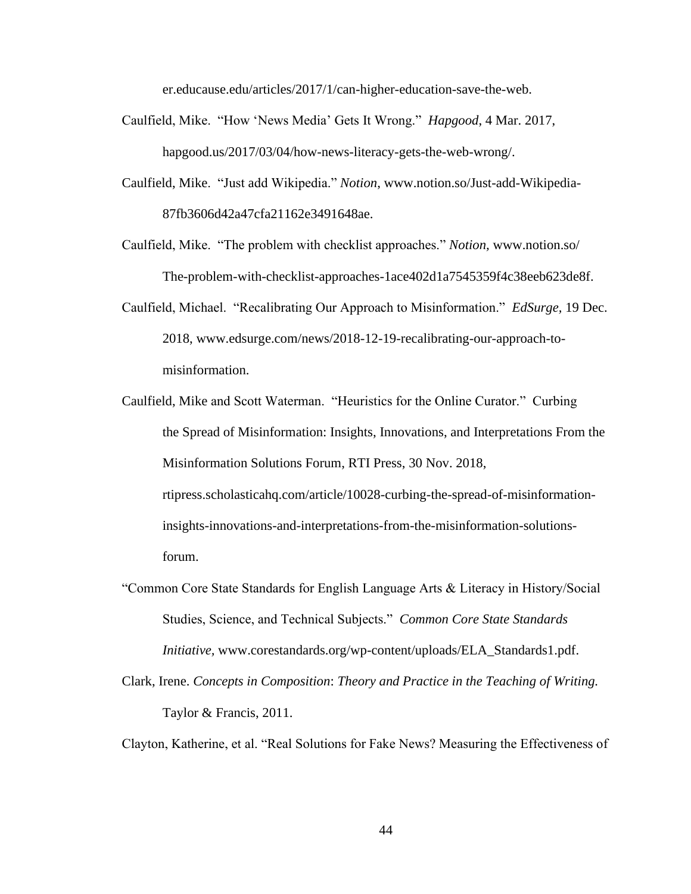er.educause.edu/articles/2017/1/can-higher-education-save-the-web.

- Caulfield, Mike. "How 'News Media' Gets It Wrong." *Hapgood*, 4 Mar. 2017, hapgood.us/2017/03/04/how-news-literacy-gets-the-web-wrong/.
- Caulfield, Mike. "Just add Wikipedia." *Notion*, [www.notion.so/Just-add-Wikipedia-](http://www.notion.so/Just-add-Wikipedia-)87fb3606d42a47cfa21162e3491648ae.
- Caulfield, Mike. "The problem with checklist approaches." *Notion,* [www.notion.so/](http://www.notion.so/) The-problem-with-checklist-approaches-1ace402d1a7545359f4c38eeb623de8f.
- Caulfield, Michael. "Recalibrating Our Approach to Misinformation." *EdSurge,* 19 Dec. 2018, [www.edsurge.com/news/2018-12-19-recalibrating-our-approach-to](http://www.edsurge.com/news/2018-12-19-recalibrating-our-approach-to-)misinformation.
- Caulfield, Mike and Scott Waterman. "Heuristics for the Online Curator." Curbing the Spread of Misinformation: Insights, Innovations, and Interpretations From the Misinformation Solutions Forum, RTI Press, 30 Nov. 2018, rtipress.scholasticahq.com/article/10028-curbing-the-spread-of-misinformationinsights-innovations-and-interpretations-from-the-misinformation-solutionsforum.
- "Common Core State Standards for English Language Arts & Literacy in History/Social Studies, Science, and Technical Subjects." *Common Core State Standards Initiative,* www.corestandards.org/wp-content/uploads/ELA\_Standards1.pdf.
- Clark, Irene. *Concepts in Composition*: *Theory and Practice in the Teaching of Writing.* Taylor & Francis, 2011.

Clayton, Katherine, et al. "Real Solutions for Fake News? Measuring the Effectiveness of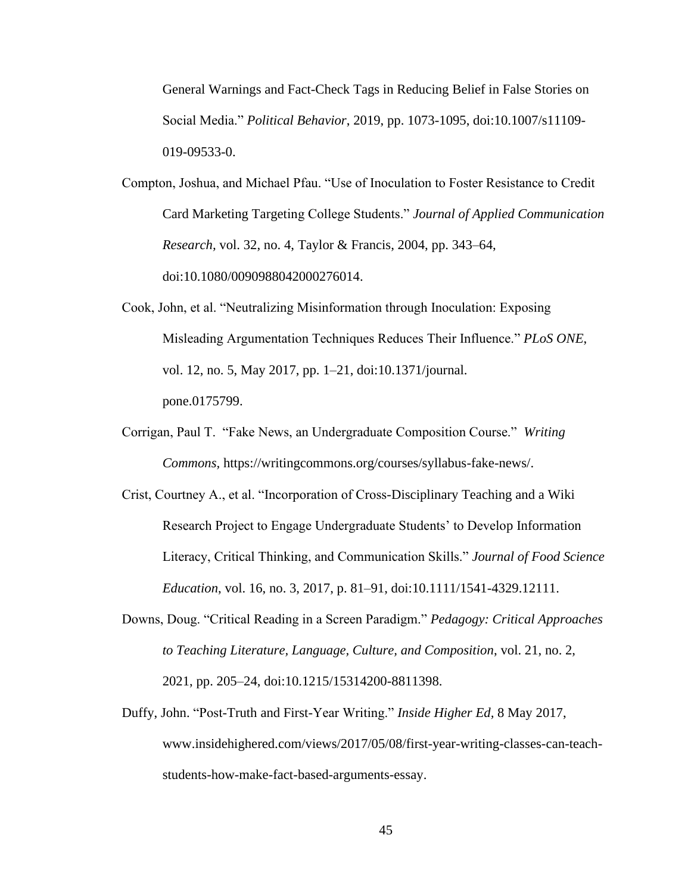General Warnings and Fact-Check Tags in Reducing Belief in False Stories on Social Media." *Political Behavior*, 2019, pp. 1073-1095, doi:10.1007/s11109- 019-09533-0.

- Compton, Joshua, and Michael Pfau. "Use of Inoculation to Foster Resistance to Credit Card Marketing Targeting College Students." *Journal of Applied Communication Research,* vol. 32, no. 4, Taylor & Francis, 2004, pp. 343–64, doi:10.1080/0090988042000276014.
- Cook, John, et al. "Neutralizing Misinformation through Inoculation: Exposing Misleading Argumentation Techniques Reduces Their Influence." *PLoS ONE*, vol. 12, no. 5, May 2017, pp. 1–21, doi:10.1371/journal. pone.0175799.
- Corrigan, Paul T. "Fake News, an Undergraduate Composition Course." *Writing Commons,* https://writingcommons.org/courses/syllabus-fake-news/.
- Crist, Courtney A., et al. "Incorporation of Cross-Disciplinary Teaching and a Wiki Research Project to Engage Undergraduate Students' to Develop Information Literacy, Critical Thinking, and Communication Skills." *Journal of Food Science Education*, vol. 16, no. 3, 2017, p. 81–91, doi:10.1111/1541-4329.12111.
- Downs, Doug. "Critical Reading in a Screen Paradigm." *Pedagogy: Critical Approaches to Teaching Literature, Language, Culture, and Composition*, vol. 21, no. 2, 2021, pp. 205–24, doi:10.1215/15314200-8811398.
- Duffy, John. "Post-Truth and First-Year Writing." *Inside Higher Ed,* 8 May 2017, [www.insidehighered.com/views/2017/05/08/first-year-writing-classes-can-teach](http://www.insidehighered.com/views/2017/05/08/first-year-writing-classes-can-teach-)students-how-make-fact-based-arguments-essay.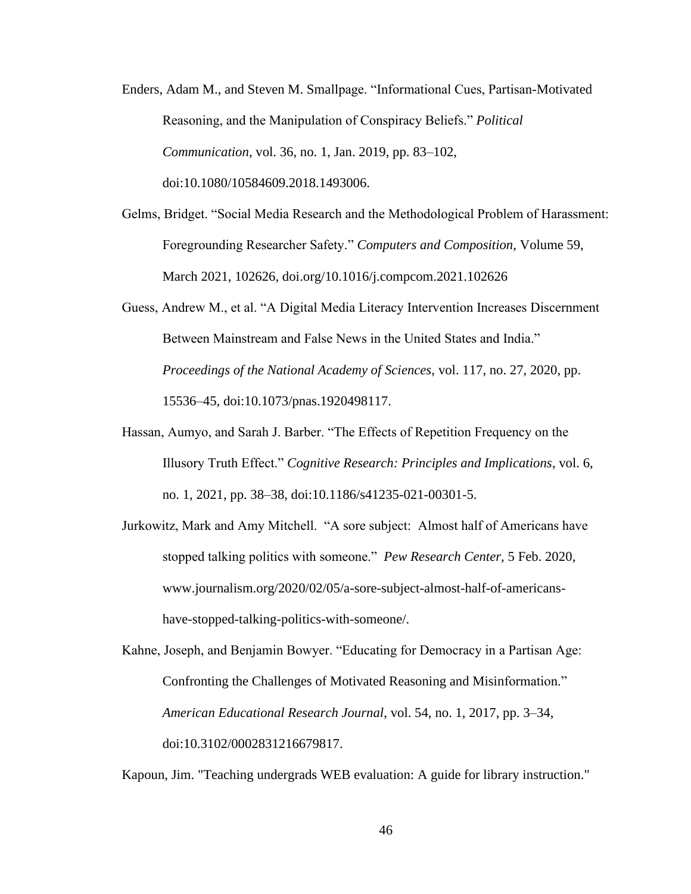- Enders, Adam M., and Steven M. Smallpage. "Informational Cues, Partisan-Motivated Reasoning, and the Manipulation of Conspiracy Beliefs." *Political Communication*, vol. 36, no. 1, Jan. 2019, pp. 83–102, doi:10.1080/10584609.2018.1493006.
- Gelms, Bridget. "Social Media Research and the Methodological Problem of Harassment: Foregrounding Researcher Safety." *Computers and Composition*, Volume 59, March 2021, 102626, [doi.org/10.1016/j.compcom.2021.102626](https://doi.org/10.1016/j.compcom.2021.102626)
- Guess, Andrew M., et al. "A Digital Media Literacy Intervention Increases Discernment Between Mainstream and False News in the United States and India." *Proceedings of the National Academy of Sciences*, vol. 117, no. 27, 2020, pp. 15536–45, doi:10.1073/pnas.1920498117.
- Hassan, Aumyo, and Sarah J. Barber. "The Effects of Repetition Frequency on the Illusory Truth Effect." *Cognitive Research: Principles and Implications*, vol. 6, no. 1, 2021, pp. 38–38, doi:10.1186/s41235-021-00301-5.
- Jurkowitz, Mark and Amy Mitchell. "A sore subject: Almost half of Americans have stopped talking politics with someone." *Pew Research Center,* 5 Feb. 2020, www.journalism.org/2020/02/05/a-sore-subject-almost-half-of-americanshave-stopped-talking-politics-with-someone/.

Kahne, Joseph, and Benjamin Bowyer. "Educating for Democracy in a Partisan Age: Confronting the Challenges of Motivated Reasoning and Misinformation." *American Educational Research Journal*, vol. 54, no. 1, 2017, pp. 3–34, doi:10.3102/0002831216679817.

Kapoun, Jim. "Teaching undergrads WEB evaluation: A guide for library instruction."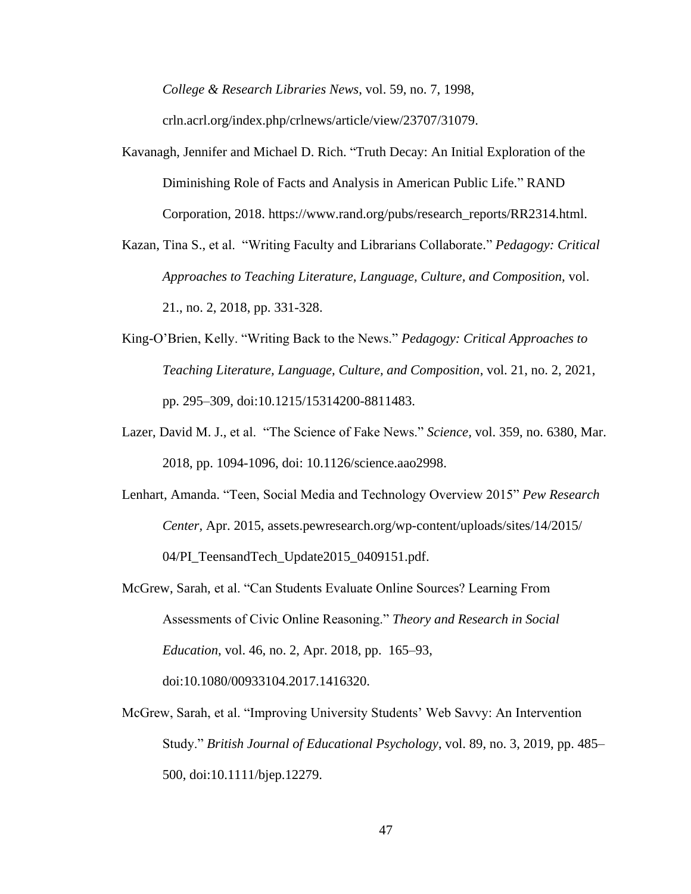*College & Research Libraries News*, vol. 59, no. 7, 1998,

crln.acrl.org/index.php/crlnews/article/view/23707/31079.

- Kavanagh, Jennifer and Michael D. Rich. "Truth Decay: An Initial Exploration of the Diminishing Role of Facts and Analysis in American Public Life." RAND Corporation, 2018. https://www.rand.org/pubs/research\_reports/RR2314.html.
- Kazan, Tina S., et al. "Writing Faculty and Librarians Collaborate." *Pedagogy: Critical Approaches to Teaching Literature, Language, Culture, and Composition,* vol. 21., no. 2, 2018, pp. 331-328.
- King-O'Brien, Kelly. "Writing Back to the News." *Pedagogy: Critical Approaches to Teaching Literature, Language, Culture, and Composition*, vol. 21, no. 2, 2021, pp. 295–309, doi:10.1215/15314200-8811483.
- Lazer, David M. J., et al. "The Science of Fake News." *Science,* vol. 359, no. 6380, Mar. 2018, pp. 1094-1096, doi: 10.1126/science.aao2998.
- Lenhart, Amanda. "Teen, Social Media and Technology Overview 2015" *Pew Research Center,* [Apr. 2015, assets.pewresearch.org/wp-c](https://assets.pewresearch.org/wp-)ontent/uploads/sites/14/2015/ 04/PI\_TeensandTech\_Update2015\_0409151.pdf.
- McGrew, Sarah, et al. "Can Students Evaluate Online Sources? Learning From Assessments of Civic Online Reasoning." *Theory and Research in Social Education*, vol. 46, no. 2, Apr. 2018, pp. 165–93, doi:10.1080/00933104.2017.1416320.
- McGrew, Sarah, et al. "Improving University Students' Web Savvy: An Intervention Study." *British Journal of Educational Psychology*, vol. 89, no. 3, 2019, pp. 485– 500, doi:10.1111/bjep.12279.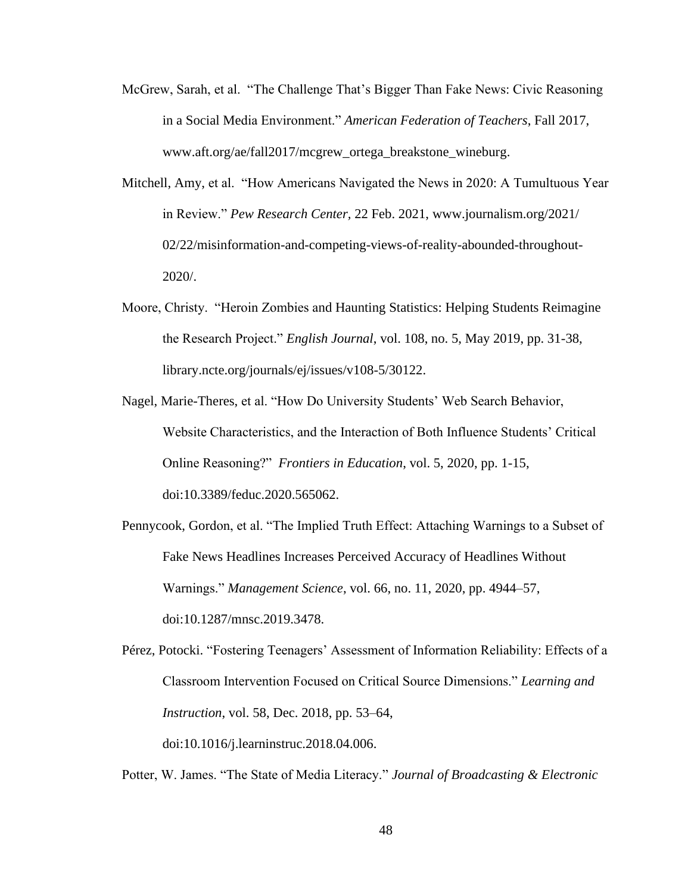- McGrew, Sarah, et al. "The Challenge That's Bigger Than Fake News: Civic Reasoning in a Social Media Environment." *American Federation of Teachers*, Fall 2017, www.aft.org/ae/fall2017/mcgrew\_ortega\_breakstone\_wineburg.
- Mitchell, Amy, et al. "How Americans Navigated the News in 2020: A Tumultuous Year in Review." *Pew Research Center,* 22 Feb. 2021, www.journalism.org/2021/ 02/22/misinformation-and-competing-views-of-reality-abounded-throughout-2020/.
- Moore, Christy. "Heroin Zombies and Haunting Statistics: Helping Students Reimagine the Research Project." *English Journal*, vol. 108, no. 5, May 2019, pp. 31-38, library.ncte.org/journals/ej/issues/v108-5/30122.
- Nagel, Marie-Theres, et al. "How Do University Students' Web Search Behavior, Website Characteristics, and the Interaction of Both Influence Students' Critical Online Reasoning?" *Frontiers in Education*, vol. 5, 2020, pp. 1-15, doi:10.3389/feduc.2020.565062.
- Pennycook, Gordon, et al. "The Implied Truth Effect: Attaching Warnings to a Subset of Fake News Headlines Increases Perceived Accuracy of Headlines Without Warnings." *Management Science*, vol. 66, no. 11, 2020, pp. 4944–57, doi:10.1287/mnsc.2019.3478.
- Pérez, Potocki. "Fostering Teenagers' Assessment of Information Reliability: Effects of a Classroom Intervention Focused on Critical Source Dimensions." *Learning and Instruction*, vol. 58, Dec. 2018, pp. 53–64, doi:10.1016/j.learninstruc.2018.04.006.

Potter, W. James. "The State of Media Literacy." *Journal of Broadcasting & Electronic*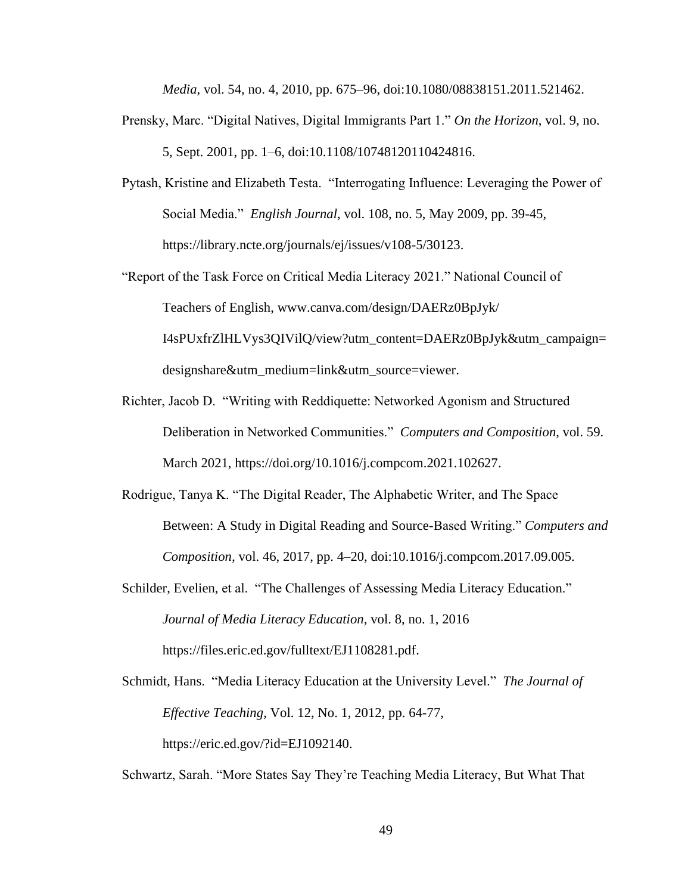*Media*, vol. 54, no. 4, 2010, pp. 675–96, doi:10.1080/08838151.2011.521462.

- Prensky, Marc. "Digital Natives, Digital Immigrants Part 1." *On the Horizon*, vol. 9, no. 5, Sept. 2001, pp. 1–6, doi:10.1108/10748120110424816.
- Pytash, Kristine and Elizabeth Testa. "Interrogating Influence: Leveraging the Power of Social Media." *English Journal*, vol. 108, no. 5, May 2009, pp. 39-45, https://library.ncte.org/journals/ej/issues/v108-5/30123.
- "Report of the Task Force on Critical Media Literacy 2021." National Council of Teachers of English, www.canva.com/design/DAERz0BpJyk/ I4sPUxfrZlHLVys3QIVilQ/view?utm\_content=DAERz0BpJyk&utm\_campaign= designshare&utm\_medium=link&utm\_source=viewer.
- Richter, Jacob D. "Writing with Reddiquette: Networked Agonism and Structured Deliberation in Networked Communities." *Computers and Composition*, vol. 59. March 2021, https://doi.org/10.1016/j.compcom.2021.102627.
- Rodrigue, Tanya K. "The Digital Reader, The Alphabetic Writer, and The Space Between: A Study in Digital Reading and Source-Based Writing." *Computers and Composition,* vol. 46, 2017, pp. 4–20, doi:10.1016/j.compcom.2017.09.005.
- Schilder, Evelien, et al. "The Challenges of Assessing Media Literacy Education." *Journal of Media Literacy Education,* vol. 8, no. 1, 2016 https://files.eric.ed.gov/fulltext/EJ1108281.pdf.
- Schmidt, Hans. "Media Literacy Education at the University Level." *The Journal of Effective Teaching*, Vol. 12, No. 1, 2012, pp. 64-77, https://eric.ed.gov/?id=EJ1092140.

Schwartz, Sarah. "More States Say They're Teaching Media Literacy, But What That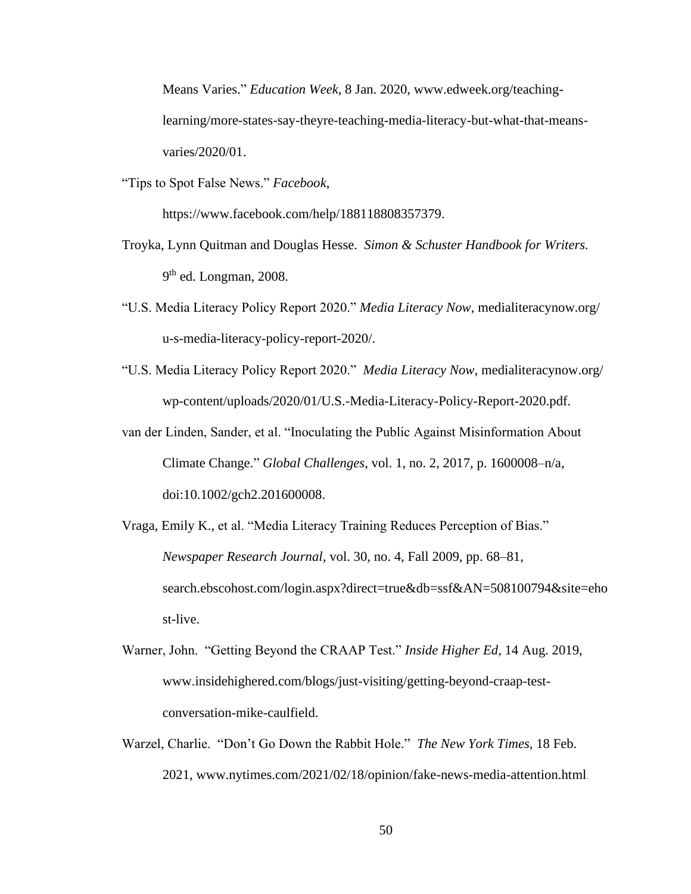Means Varies." *Education Week*, 8 Jan. 2020, www.edweek.org/teachinglearning/more-states-say-theyre-teaching-media-literacy-but-what-that-meansvaries/2020/01.

"Tips to Spot False News." *Facebook*,

https://www.facebook.com/help/188118808357379.

- Troyka, Lynn Quitman and Douglas Hesse. *Simon & Schuster Handbook for Writers.* 9<sup>th</sup> ed. Longman, 2008.
- "U.S. Media Literacy Policy Report 2020." *Media Literacy Now,* medialiteracynow.org/ u-s-media-literacy-policy-report-2020/.
- "U.S. Media Literacy Policy Report 2020." *Media Literacy Now*, medialiteracynow.org/ wp-content/uploads/2020/01/U.S.-Media-Literacy-Policy-Report-2020.pdf.
- van der Linden, Sander, et al. "Inoculating the Public Against Misinformation About Climate Change." *Global Challenges*, vol. 1, no. 2, 2017, p. 1600008–n/a, doi:10.1002/gch2.201600008.
- Vraga, Emily K., et al. "Media Literacy Training Reduces Perception of Bias." *Newspaper Research Journal*, vol. 30, no. 4, Fall 2009, pp. 68–81, search.ebscohost.com/login.aspx?direct=true&db=ssf&AN=508100794&site=eho st-live.
- Warner, John. "Getting Beyond the CRAAP Test." *Inside Higher Ed,* 14 Aug. 2019, www.insidehighered.com/blogs/just-visiting/getting-beyond-craap-testconversation-mike-caulfield.
- Warzel, Charlie. "Don't Go Down the Rabbit Hole." *The New York Times*, 18 Feb. 2021, www.nytimes.com/2021/02/18/opinion/fake-news-media-attention.html.